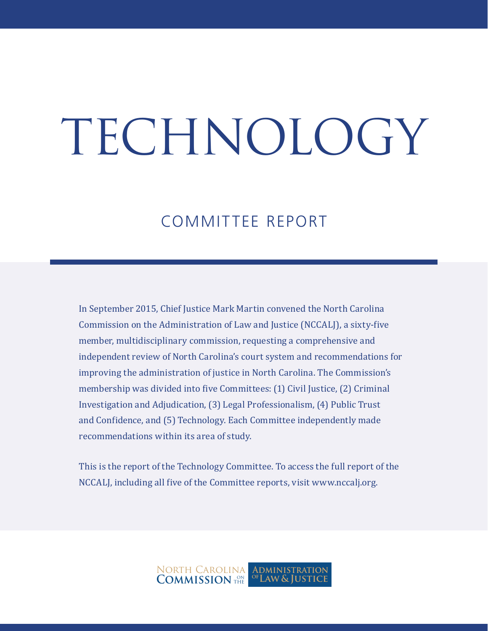# TECHNOLOGY

### COMMITTEE REPORT

In September 2015, Chief Justice Mark Martin convened the North Carolina Commission on the Administration of Law and Justice (NCCALJ), a sixty-five member, multidisciplinary commission, requesting a comprehensive and independent review of North Carolina's court system and recommendations for improving the administration of justice in North Carolina. The Commission's membership was divided into five Committees: (1) Civil Justice, (2) Criminal Investigation and Adjudication, (3) Legal Professionalism, (4) Public Trust and Confidence, and (5) Technology. Each Committee independently made recommendations within its area of study.

This is the report of the Technology Committee. To access the full report of the NCCALJ, including all five of the Committee reports, visit www.nccalj.org.

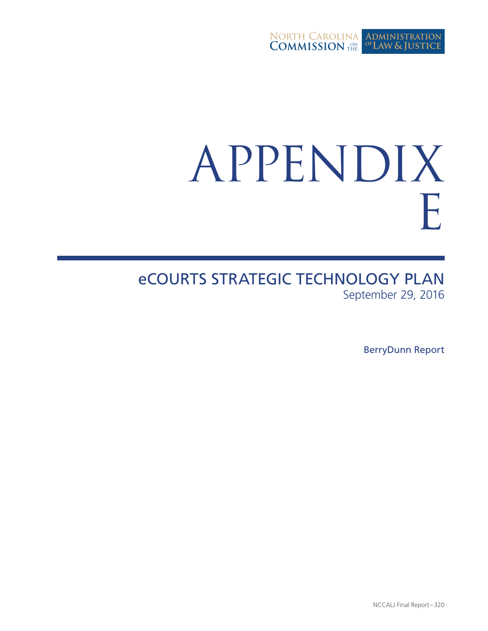

# APPENDIX E

eCOURTS STRATEGIC TECHNOLOGY PLAN September 29, 2016

BerryDunn Report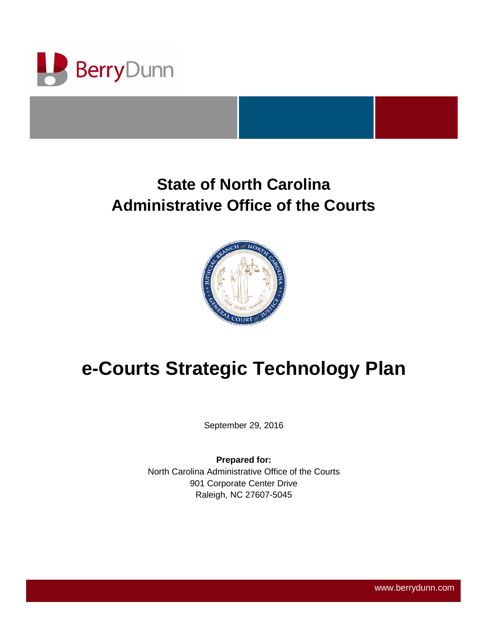

## **State of North Carolina Administrative Office of the Courts**



## **e-Courts Strategic Technology Plan**

September 29, 2016

**Prepared for:** North Carolina Administrative Office of the Courts 901 Corporate Center Drive Raleigh, NC 27607-5045

**www.berrydunn.com** www.berrydunn.com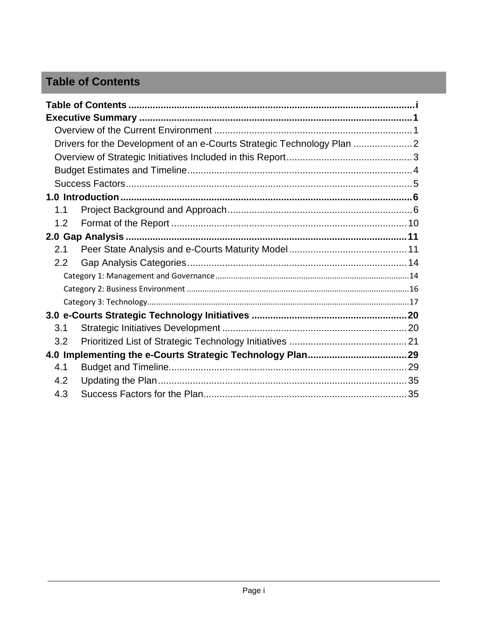#### <span id="page-3-0"></span>**Table of Contents**

|     | Drivers for the Development of an e-Courts Strategic Technology Plan |  |
|-----|----------------------------------------------------------------------|--|
|     |                                                                      |  |
|     |                                                                      |  |
|     |                                                                      |  |
|     |                                                                      |  |
| 1.1 |                                                                      |  |
| 1.2 |                                                                      |  |
|     |                                                                      |  |
| 2.1 |                                                                      |  |
| 2.2 |                                                                      |  |
|     |                                                                      |  |
|     |                                                                      |  |
|     |                                                                      |  |
|     |                                                                      |  |
| 3.1 |                                                                      |  |
| 3.2 |                                                                      |  |
|     |                                                                      |  |
| 4.1 |                                                                      |  |
| 4.2 |                                                                      |  |
| 4.3 |                                                                      |  |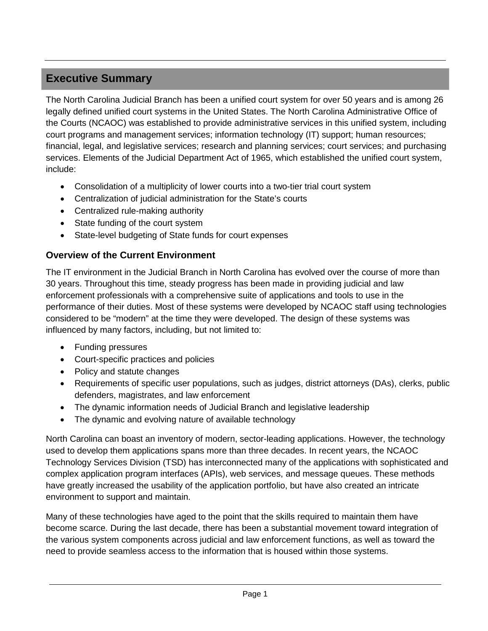#### <span id="page-4-0"></span>**Executive Summary**

The North Carolina Judicial Branch has been a unified court system for over 50 years and is among 26 legally defined unified court systems in the United States. The North Carolina Administrative Office of the Courts (NCAOC) was established to provide administrative services in this unified system, including court programs and management services; information technology (IT) support; human resources; financial, legal, and legislative services; research and planning services; court services; and purchasing services. Elements of the Judicial Department Act of 1965, which established the unified court system, include:

- Consolidation of a multiplicity of lower courts into a two-tier trial court system
- Centralization of judicial administration for the State's courts
- Centralized rule-making authority
- State funding of the court system
- State-level budgeting of State funds for court expenses

#### <span id="page-4-1"></span>**Overview of the Current Environment**

The IT environment in the Judicial Branch in North Carolina has evolved over the course of more than 30 years. Throughout this time, steady progress has been made in providing judicial and law enforcement professionals with a comprehensive suite of applications and tools to use in the performance of their duties. Most of these systems were developed by NCAOC staff using technologies considered to be "modern" at the time they were developed. The design of these systems was influenced by many factors, including, but not limited to:

- Funding pressures
- Court-specific practices and policies
- Policy and statute changes
- Requirements of specific user populations, such as judges, district attorneys (DAs), clerks, public defenders, magistrates, and law enforcement
- The dynamic information needs of Judicial Branch and legislative leadership
- The dynamic and evolving nature of available technology

North Carolina can boast an inventory of modern, sector-leading applications. However, the technology used to develop them applications spans more than three decades. In recent years, the NCAOC Technology Services Division (TSD) has interconnected many of the applications with sophisticated and complex application program interfaces (APIs), web services, and message queues. These methods have greatly increased the usability of the application portfolio, but have also created an intricate environment to support and maintain.

Many of these technologies have aged to the point that the skills required to maintain them have become scarce. During the last decade, there has been a substantial movement toward integration of the various system components across judicial and law enforcement functions, as well as toward the need to provide seamless access to the information that is housed within those systems.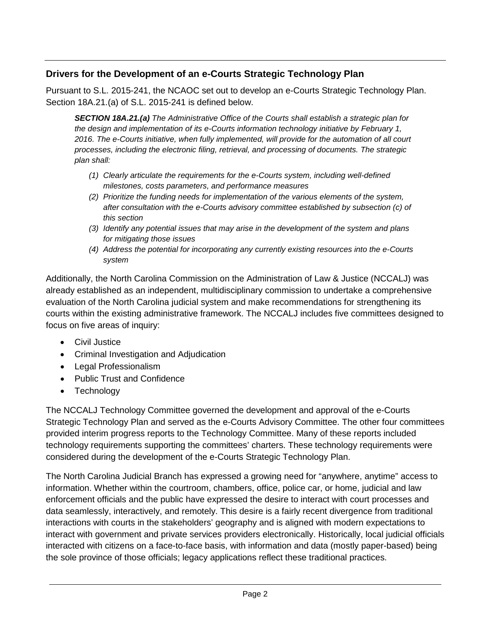#### <span id="page-5-0"></span>**Drivers for the Development of an e-Courts Strategic Technology Plan**

Pursuant to S.L. 2015-241, the NCAOC set out to develop an e-Courts Strategic Technology Plan. Section 18A.21.(a) of S.L. 2015-241 is defined below.

*SECTION 18A.21.(a) The Administrative Office of the Courts shall establish a strategic plan for the design and implementation of its e-Courts information technology initiative by February 1, 2016. The e-Courts initiative, when fully implemented, will provide for the automation of all court processes, including the electronic filing, retrieval, and processing of documents. The strategic plan shall:*

- *(1) Clearly articulate the requirements for the e-Courts system, including well-defined milestones, costs parameters, and performance measures*
- *(2) Prioritize the funding needs for implementation of the various elements of the system, after consultation with the e-Courts advisory committee established by subsection (c) of this section*
- *(3) Identify any potential issues that may arise in the development of the system and plans for mitigating those issues*
- *(4) Address the potential for incorporating any currently existing resources into the e-Courts system*

Additionally, the North Carolina Commission on the Administration of Law & Justice (NCCALJ) was already established as an independent, multidisciplinary commission to undertake a comprehensive evaluation of the North Carolina judicial system and make recommendations for strengthening its courts within the existing administrative framework. The NCCALJ includes five committees designed to focus on five areas of inquiry:

- Civil Justice
- Criminal Investigation and Adjudication
- Legal Professionalism
- Public Trust and Confidence
- Technology

The NCCALJ Technology Committee governed the development and approval of the e-Courts Strategic Technology Plan and served as the e-Courts Advisory Committee. The other four committees provided interim progress reports to the Technology Committee. Many of these reports included technology requirements supporting the committees' charters. These technology requirements were considered during the development of the e-Courts Strategic Technology Plan.

The North Carolina Judicial Branch has expressed a growing need for "anywhere, anytime" access to information. Whether within the courtroom, chambers, office, police car, or home, judicial and law enforcement officials and the public have expressed the desire to interact with court processes and data seamlessly, interactively, and remotely. This desire is a fairly recent divergence from traditional interactions with courts in the stakeholders' geography and is aligned with modern expectations to interact with government and private services providers electronically. Historically, local judicial officials interacted with citizens on a face-to-face basis, with information and data (mostly paper-based) being the sole province of those officials; legacy applications reflect these traditional practices.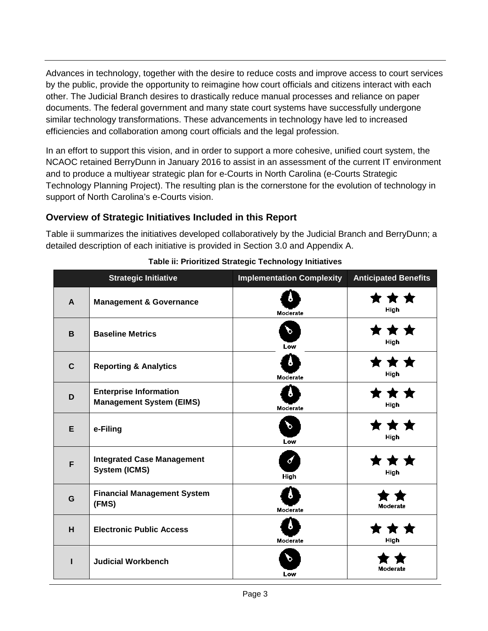Advances in technology, together with the desire to reduce costs and improve access to court services by the public, provide the opportunity to reimagine how court officials and citizens interact with each other. The Judicial Branch desires to drastically reduce manual processes and reliance on paper documents. The federal government and many state court systems have successfully undergone similar technology transformations. These advancements in technology have led to increased efficiencies and collaboration among court officials and the legal profession.

In an effort to support this vision, and in order to support a more cohesive, unified court system, the NCAOC retained BerryDunn in January 2016 to assist in an assessment of the current IT environment and to produce a multiyear strategic plan for e-Courts in North Carolina (e-Courts Strategic Technology Planning Project). The resulting plan is the cornerstone for the evolution of technology in support of North Carolina's e-Courts vision.

#### <span id="page-6-0"></span>**Overview of Strategic Initiatives Included in this Report**

Table ii summarizes the initiatives developed collaboratively by the Judicial Branch and BerryDunn; a detailed description of each initiative is provided in Section 3.0 and Appendix A.

|              | <b>Strategic Initiative</b>                                      | <b>Implementation Complexity</b> | <b>Anticipated Benefits</b> |
|--------------|------------------------------------------------------------------|----------------------------------|-----------------------------|
| $\mathbf{A}$ | <b>Management &amp; Governance</b>                               | Moderate                         | * *<br>High                 |
| B            | <b>Baseline Metrics</b>                                          | P<br>Low                         | High                        |
| $\mathbf C$  | <b>Reporting &amp; Analytics</b>                                 | 8<br>Moderate                    | ★ ★<br>High                 |
| D            | <b>Enterprise Information</b><br><b>Management System (EIMS)</b> | э<br>Moderate                    | High                        |
| E            | e-Filing                                                         | D<br>Low                         | High                        |
| F            | <b>Integrated Case Management</b><br><b>System (ICMS)</b>        | $\boldsymbol{d}$<br>High         | High                        |
| G            | <b>Financial Management System</b><br>(FMS)                      | 8<br>Moderate                    | Moderate                    |
| H            | <b>Electronic Public Access</b>                                  | 5<br>Moderate                    | High                        |
| ш            | <b>Judicial Workbench</b>                                        | O.<br>Low                        | Moderate                    |

**Table ii: Prioritized Strategic Technology Initiatives**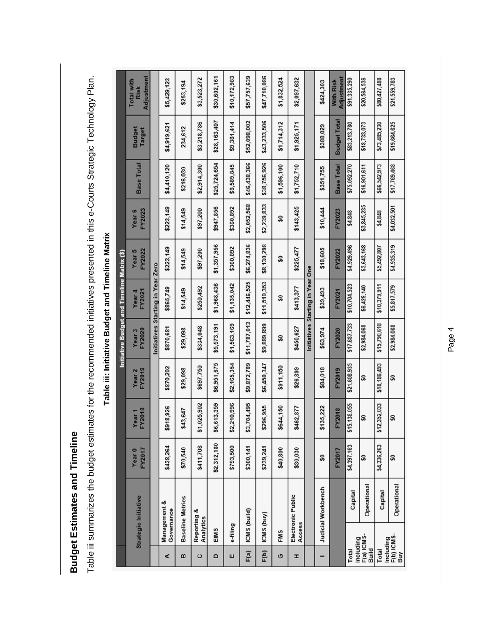**Budget Estimates and Timeline Budget Estimates and Timeline**

Table iii summarizes the budget estimates for the recommended initiatives presented in this e-Courts Strategic Technology Plan. Table iii summarizes the budget estimates for the recommended initiatives presented in this e-Courts Strategic Technology Plan.

| With Risk<br>\$424,303<br>\$253,194<br><b>Risk</b><br><b>Budget Total</b><br>\$52,098,002<br>\$43,233,506<br>\$28,163,407<br>\$9,381,414<br>\$1,714,312<br>\$3,218,786<br>\$18,733,073<br>\$73,485,230<br>\$19,664,625<br>\$1,925,171<br>\$83,213,780<br>\$4,919,621<br>\$388,029<br>234,612<br>Budget<br>Target<br>\$46,438,366<br>\$38,756,926<br>\$25,724,654<br><b>Base Total</b><br>\$8,589,845<br>\$66,542,973<br>\$17,769,468<br>\$4,410,120<br>\$2,914,300<br>\$1,596,100<br>\$1,752,710<br>\$75,092,270<br><b>Base Total</b><br>\$16,901,611<br>\$351,755<br>\$216,030<br>\$2,052,568<br>\$2,239,833<br>\$3,845,235<br>\$4,032,501<br>\$223,149<br>\$360,892<br>\$143,425<br>\$947,856<br>\$10,444<br>\$14,549<br>\$97,200<br>FY2023<br>FY2023<br>Year <sub>6</sub><br>\$4,848<br>\$4,848<br>ន្ល<br>\$6,274,836<br>\$8,130,298<br>\$1,357,956<br>\$4,935,319<br>\$4,929,496<br>\$3,643,168<br>\$5,492,807<br>\$360,892<br>\$223,149<br>\$225,477<br>\$18,605<br>\$14,549<br>\$97,200<br>FY2022<br>FY2022<br>Year 5<br>ន្ធ<br>Initiatives Starting in Year Zero<br>Initiatives Starting in Year One<br>\$12,446,525<br>\$11,510,353<br>\$1,968,436<br>\$1,135,042<br>\$10,379,911<br>\$10.704,523<br>\$5,817,579<br>\$6,429,140<br>\$250,492<br>\$413,377<br>\$865,749<br>\$39,493<br>\$14,549<br>FY2021<br>FY2021<br>Year 4<br>န္တ<br>\$11,787,013<br>\$15,790,618<br>\$9,889,899<br>\$1,563,169<br>\$17,687,733<br>\$5,573,191<br>\$2,984,068<br>\$2,984,068<br>\$334,048<br>\$870,681<br>\$450,627<br>\$63,974<br>\$29,098<br>FY2020<br>FY2020<br>Year <sub>3</sub><br>SO<br>\$6,951,675<br>\$2,165,354<br>\$9,872,789<br>\$6,450,347<br>\$18,186,493<br>\$21,608,935<br>\$697,750<br>\$870,202<br>\$911,150<br>\$26,899<br>\$84,018<br>\$29,098<br>FY2019<br>FY2019<br>Year <sub>2</sub><br>S<br>S<br>210,996<br>\$3,704,495<br>,025,902<br>613,359<br>\$12,352,033<br>\$15,138,055<br>\$296,955<br>\$644,150<br>\$135,222<br>\$918,926<br>\$462,877<br>FY2018<br>43,647<br>FY2018<br>Year <sub>1</sub><br>S<br>S<br>5<br>38<br>ౢ<br>\$2,312,180<br>\$4,336,263<br>\$438,264<br>\$411,708<br>\$793,500<br>\$4,397,163<br>\$300,141<br>\$239,241<br>\$70,540<br>\$40,800<br>\$30,030<br><b>FY2017</b><br><b>FY2017</b><br>Year <sub>0</sub><br>္တ<br>S<br>S<br>Operational<br>Operational<br>Judicial Workbench<br>Capital<br>Capital<br>Electronic Public |                             |  |  | <b>Initiative Budget and Timeline Matrix (\$)</b> |  |  |                                 |
|-----------------------------------------------------------------------------------------------------------------------------------------------------------------------------------------------------------------------------------------------------------------------------------------------------------------------------------------------------------------------------------------------------------------------------------------------------------------------------------------------------------------------------------------------------------------------------------------------------------------------------------------------------------------------------------------------------------------------------------------------------------------------------------------------------------------------------------------------------------------------------------------------------------------------------------------------------------------------------------------------------------------------------------------------------------------------------------------------------------------------------------------------------------------------------------------------------------------------------------------------------------------------------------------------------------------------------------------------------------------------------------------------------------------------------------------------------------------------------------------------------------------------------------------------------------------------------------------------------------------------------------------------------------------------------------------------------------------------------------------------------------------------------------------------------------------------------------------------------------------------------------------------------------------------------------------------------------------------------------------------------------------------------------------------------------------------------------------------------------------------------------------------------------------------------------------------------------------------------------------------------------------------------------------------------------------------------------------------------------------------|-----------------------------|--|--|---------------------------------------------------|--|--|---------------------------------|
|                                                                                                                                                                                                                                                                                                                                                                                                                                                                                                                                                                                                                                                                                                                                                                                                                                                                                                                                                                                                                                                                                                                                                                                                                                                                                                                                                                                                                                                                                                                                                                                                                                                                                                                                                                                                                                                                                                                                                                                                                                                                                                                                                                                                                                                                                                                                                                       | <b>Strategic Initiative</b> |  |  |                                                   |  |  | Adjustment<br><b>Total with</b> |
|                                                                                                                                                                                                                                                                                                                                                                                                                                                                                                                                                                                                                                                                                                                                                                                                                                                                                                                                                                                                                                                                                                                                                                                                                                                                                                                                                                                                                                                                                                                                                                                                                                                                                                                                                                                                                                                                                                                                                                                                                                                                                                                                                                                                                                                                                                                                                                       |                             |  |  |                                                   |  |  |                                 |
|                                                                                                                                                                                                                                                                                                                                                                                                                                                                                                                                                                                                                                                                                                                                                                                                                                                                                                                                                                                                                                                                                                                                                                                                                                                                                                                                                                                                                                                                                                                                                                                                                                                                                                                                                                                                                                                                                                                                                                                                                                                                                                                                                                                                                                                                                                                                                                       | Management &<br>Governance  |  |  |                                                   |  |  | \$5,429,123                     |
|                                                                                                                                                                                                                                                                                                                                                                                                                                                                                                                                                                                                                                                                                                                                                                                                                                                                                                                                                                                                                                                                                                                                                                                                                                                                                                                                                                                                                                                                                                                                                                                                                                                                                                                                                                                                                                                                                                                                                                                                                                                                                                                                                                                                                                                                                                                                                                       | <b>Baseline Metrics</b>     |  |  |                                                   |  |  |                                 |
|                                                                                                                                                                                                                                                                                                                                                                                                                                                                                                                                                                                                                                                                                                                                                                                                                                                                                                                                                                                                                                                                                                                                                                                                                                                                                                                                                                                                                                                                                                                                                                                                                                                                                                                                                                                                                                                                                                                                                                                                                                                                                                                                                                                                                                                                                                                                                                       | Reporting &<br>Analytics    |  |  |                                                   |  |  | \$3,523,272                     |
|                                                                                                                                                                                                                                                                                                                                                                                                                                                                                                                                                                                                                                                                                                                                                                                                                                                                                                                                                                                                                                                                                                                                                                                                                                                                                                                                                                                                                                                                                                                                                                                                                                                                                                                                                                                                                                                                                                                                                                                                                                                                                                                                                                                                                                                                                                                                                                       |                             |  |  |                                                   |  |  | \$30,602,161                    |
|                                                                                                                                                                                                                                                                                                                                                                                                                                                                                                                                                                                                                                                                                                                                                                                                                                                                                                                                                                                                                                                                                                                                                                                                                                                                                                                                                                                                                                                                                                                                                                                                                                                                                                                                                                                                                                                                                                                                                                                                                                                                                                                                                                                                                                                                                                                                                                       | e-filing                    |  |  |                                                   |  |  | \$10,172,983                    |
|                                                                                                                                                                                                                                                                                                                                                                                                                                                                                                                                                                                                                                                                                                                                                                                                                                                                                                                                                                                                                                                                                                                                                                                                                                                                                                                                                                                                                                                                                                                                                                                                                                                                                                                                                                                                                                                                                                                                                                                                                                                                                                                                                                                                                                                                                                                                                                       | ICMS (build)                |  |  |                                                   |  |  | \$57,757,639                    |
|                                                                                                                                                                                                                                                                                                                                                                                                                                                                                                                                                                                                                                                                                                                                                                                                                                                                                                                                                                                                                                                                                                                                                                                                                                                                                                                                                                                                                                                                                                                                                                                                                                                                                                                                                                                                                                                                                                                                                                                                                                                                                                                                                                                                                                                                                                                                                                       | ICMS (buy)                  |  |  |                                                   |  |  | \$47,710,086                    |
|                                                                                                                                                                                                                                                                                                                                                                                                                                                                                                                                                                                                                                                                                                                                                                                                                                                                                                                                                                                                                                                                                                                                                                                                                                                                                                                                                                                                                                                                                                                                                                                                                                                                                                                                                                                                                                                                                                                                                                                                                                                                                                                                                                                                                                                                                                                                                                       |                             |  |  |                                                   |  |  | \$1,832,524                     |
|                                                                                                                                                                                                                                                                                                                                                                                                                                                                                                                                                                                                                                                                                                                                                                                                                                                                                                                                                                                                                                                                                                                                                                                                                                                                                                                                                                                                                                                                                                                                                                                                                                                                                                                                                                                                                                                                                                                                                                                                                                                                                                                                                                                                                                                                                                                                                                       | <b>Access</b>               |  |  |                                                   |  |  | \$2,097,632                     |
|                                                                                                                                                                                                                                                                                                                                                                                                                                                                                                                                                                                                                                                                                                                                                                                                                                                                                                                                                                                                                                                                                                                                                                                                                                                                                                                                                                                                                                                                                                                                                                                                                                                                                                                                                                                                                                                                                                                                                                                                                                                                                                                                                                                                                                                                                                                                                                       |                             |  |  |                                                   |  |  |                                 |
|                                                                                                                                                                                                                                                                                                                                                                                                                                                                                                                                                                                                                                                                                                                                                                                                                                                                                                                                                                                                                                                                                                                                                                                                                                                                                                                                                                                                                                                                                                                                                                                                                                                                                                                                                                                                                                                                                                                                                                                                                                                                                                                                                                                                                                                                                                                                                                       |                             |  |  |                                                   |  |  |                                 |
|                                                                                                                                                                                                                                                                                                                                                                                                                                                                                                                                                                                                                                                                                                                                                                                                                                                                                                                                                                                                                                                                                                                                                                                                                                                                                                                                                                                                                                                                                                                                                                                                                                                                                                                                                                                                                                                                                                                                                                                                                                                                                                                                                                                                                                                                                                                                                                       |                             |  |  |                                                   |  |  | Adjustment                      |
|                                                                                                                                                                                                                                                                                                                                                                                                                                                                                                                                                                                                                                                                                                                                                                                                                                                                                                                                                                                                                                                                                                                                                                                                                                                                                                                                                                                                                                                                                                                                                                                                                                                                                                                                                                                                                                                                                                                                                                                                                                                                                                                                                                                                                                                                                                                                                                       |                             |  |  |                                                   |  |  | \$91,335,290                    |
|                                                                                                                                                                                                                                                                                                                                                                                                                                                                                                                                                                                                                                                                                                                                                                                                                                                                                                                                                                                                                                                                                                                                                                                                                                                                                                                                                                                                                                                                                                                                                                                                                                                                                                                                                                                                                                                                                                                                                                                                                                                                                                                                                                                                                                                                                                                                                                       |                             |  |  |                                                   |  |  | \$20,564,536                    |
|                                                                                                                                                                                                                                                                                                                                                                                                                                                                                                                                                                                                                                                                                                                                                                                                                                                                                                                                                                                                                                                                                                                                                                                                                                                                                                                                                                                                                                                                                                                                                                                                                                                                                                                                                                                                                                                                                                                                                                                                                                                                                                                                                                                                                                                                                                                                                                       |                             |  |  |                                                   |  |  | \$80,427,488                    |
|                                                                                                                                                                                                                                                                                                                                                                                                                                                                                                                                                                                                                                                                                                                                                                                                                                                                                                                                                                                                                                                                                                                                                                                                                                                                                                                                                                                                                                                                                                                                                                                                                                                                                                                                                                                                                                                                                                                                                                                                                                                                                                                                                                                                                                                                                                                                                                       |                             |  |  |                                                   |  |  | \$21,559,783                    |

# <span id="page-7-0"></span>Table iii: Initiative Budget and Timeline Matrix **Table iii: Initiative Budget and Timeline Matrix**

Page 4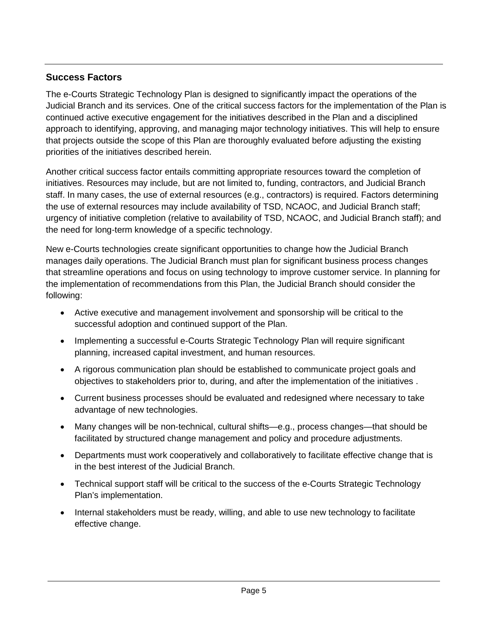#### <span id="page-8-0"></span>**Success Factors**

The e-Courts Strategic Technology Plan is designed to significantly impact the operations of the Judicial Branch and its services. One of the critical success factors for the implementation of the Plan is continued active executive engagement for the initiatives described in the Plan and a disciplined approach to identifying, approving, and managing major technology initiatives. This will help to ensure that projects outside the scope of this Plan are thoroughly evaluated before adjusting the existing priorities of the initiatives described herein.

Another critical success factor entails committing appropriate resources toward the completion of initiatives. Resources may include, but are not limited to, funding, contractors, and Judicial Branch staff. In many cases, the use of external resources (e.g., contractors) is required. Factors determining the use of external resources may include availability of TSD, NCAOC, and Judicial Branch staff; urgency of initiative completion (relative to availability of TSD, NCAOC, and Judicial Branch staff); and the need for long-term knowledge of a specific technology.

New e-Courts technologies create significant opportunities to change how the Judicial Branch manages daily operations. The Judicial Branch must plan for significant business process changes that streamline operations and focus on using technology to improve customer service. In planning for the implementation of recommendations from this Plan, the Judicial Branch should consider the following:

- Active executive and management involvement and sponsorship will be critical to the successful adoption and continued support of the Plan.
- Implementing a successful e-Courts Strategic Technology Plan will require significant planning, increased capital investment, and human resources.
- A rigorous communication plan should be established to communicate project goals and objectives to stakeholders prior to, during, and after the implementation of the initiatives .
- Current business processes should be evaluated and redesigned where necessary to take advantage of new technologies.
- Many changes will be non-technical, cultural shifts—e.g., process changes—that should be facilitated by structured change management and policy and procedure adjustments.
- Departments must work cooperatively and collaboratively to facilitate effective change that is in the best interest of the Judicial Branch.
- Technical support staff will be critical to the success of the e-Courts Strategic Technology Plan's implementation.
- Internal stakeholders must be ready, willing, and able to use new technology to facilitate effective change.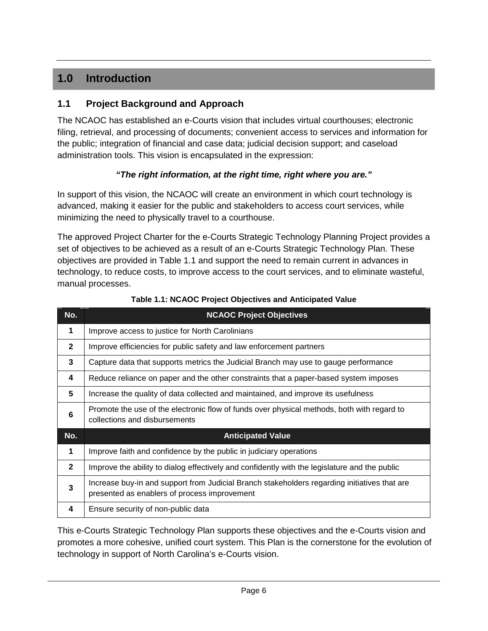#### <span id="page-9-0"></span>**1.0 Introduction**

#### <span id="page-9-1"></span>**1.1 Project Background and Approach**

The NCAOC has established an e-Courts vision that includes virtual courthouses; electronic filing, retrieval, and processing of documents; convenient access to services and information for the public; integration of financial and case data; judicial decision support; and caseload administration tools. This vision is encapsulated in the expression:

#### *"The right information, at the right time, right where you are."*

In support of this vision, the NCAOC will create an environment in which court technology is advanced, making it easier for the public and stakeholders to access court services, while minimizing the need to physically travel to a courthouse.

The approved Project Charter for the e-Courts Strategic Technology Planning Project provides a set of objectives to be achieved as a result of an e-Courts Strategic Technology Plan. These objectives are provided in Table 1.1 and support the need to remain current in advances in technology, to reduce costs, to improve access to the court services, and to eliminate wasteful, manual processes.

| No.            | <b>NCAOC Project Objectives</b>                                                                                                              |
|----------------|----------------------------------------------------------------------------------------------------------------------------------------------|
| 1              | Improve access to justice for North Carolinians                                                                                              |
| $\mathbf{2}$   | Improve efficiencies for public safety and law enforcement partners                                                                          |
| 3              | Capture data that supports metrics the Judicial Branch may use to gauge performance                                                          |
| 4              | Reduce reliance on paper and the other constraints that a paper-based system imposes                                                         |
| 5              | Increase the quality of data collected and maintained, and improve its usefulness                                                            |
| 6              | Promote the use of the electronic flow of funds over physical methods, both with regard to<br>collections and disbursements                  |
| No.            | <b>Anticipated Value</b>                                                                                                                     |
| 1              | Improve faith and confidence by the public in judiciary operations                                                                           |
| $\overline{2}$ | Improve the ability to dialog effectively and confidently with the legislature and the public                                                |
| 3              | Increase buy-in and support from Judicial Branch stakeholders regarding initiatives that are<br>presented as enablers of process improvement |
| 4              | Ensure security of non-public data                                                                                                           |

| Table 1.1: NCAOC Project Objectives and Anticipated Value |  |  |  |
|-----------------------------------------------------------|--|--|--|
|-----------------------------------------------------------|--|--|--|

This e-Courts Strategic Technology Plan supports these objectives and the e-Courts vision and promotes a more cohesive, unified court system. This Plan is the cornerstone for the evolution of technology in support of North Carolina's e-Courts vision.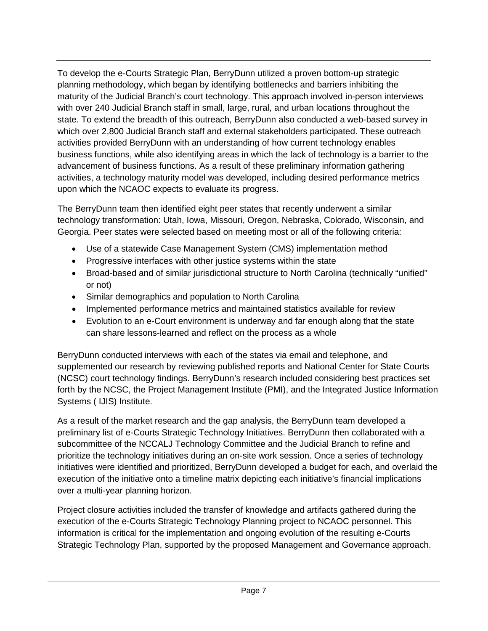To develop the e-Courts Strategic Plan, BerryDunn utilized a proven bottom-up strategic planning methodology, which began by identifying bottlenecks and barriers inhibiting the maturity of the Judicial Branch's court technology. This approach involved in-person interviews with over 240 Judicial Branch staff in small, large, rural, and urban locations throughout the state. To extend the breadth of this outreach, BerryDunn also conducted a web-based survey in which over 2,800 Judicial Branch staff and external stakeholders participated. These outreach activities provided BerryDunn with an understanding of how current technology enables business functions, while also identifying areas in which the lack of technology is a barrier to the advancement of business functions. As a result of these preliminary information gathering activities, a technology maturity model was developed, including desired performance metrics upon which the NCAOC expects to evaluate its progress.

The BerryDunn team then identified eight peer states that recently underwent a similar technology transformation: Utah, Iowa, Missouri, Oregon, Nebraska, Colorado, Wisconsin, and Georgia. Peer states were selected based on meeting most or all of the following criteria:

- Use of a statewide Case Management System (CMS) implementation method
- Progressive interfaces with other justice systems within the state
- Broad-based and of similar jurisdictional structure to North Carolina (technically "unified" or not)
- Similar demographics and population to North Carolina
- Implemented performance metrics and maintained statistics available for review
- Evolution to an e-Court environment is underway and far enough along that the state can share lessons-learned and reflect on the process as a whole

BerryDunn conducted interviews with each of the states via email and telephone, and supplemented our research by reviewing published reports and National Center for State Courts (NCSC) court technology findings. BerryDunn's research included considering best practices set forth by the NCSC, the Project Management Institute (PMI), and the Integrated Justice Information Systems ( IJIS) Institute.

As a result of the market research and the gap analysis, the BerryDunn team developed a preliminary list of e-Courts Strategic Technology Initiatives. BerryDunn then collaborated with a subcommittee of the NCCALJ Technology Committee and the Judicial Branch to refine and prioritize the technology initiatives during an on-site work session. Once a series of technology initiatives were identified and prioritized, BerryDunn developed a budget for each, and overlaid the execution of the initiative onto a timeline matrix depicting each initiative's financial implications over a multi-year planning horizon.

Project closure activities included the transfer of knowledge and artifacts gathered during the execution of the e-Courts Strategic Technology Planning project to NCAOC personnel. This information is critical for the implementation and ongoing evolution of the resulting e-Courts Strategic Technology Plan, supported by the proposed Management and Governance approach.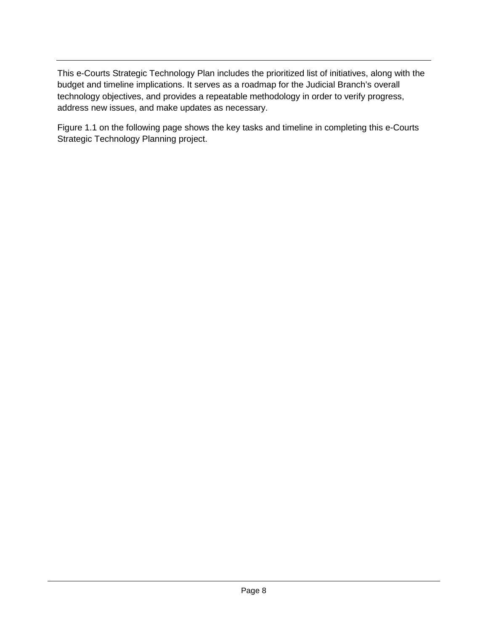This e-Courts Strategic Technology Plan includes the prioritized list of initiatives, along with the budget and timeline implications. It serves as a roadmap for the Judicial Branch's overall technology objectives, and provides a repeatable methodology in order to verify progress, address new issues, and make updates as necessary.

Figure 1.1 on the following page shows the key tasks and timeline in completing this e-Courts Strategic Technology Planning project.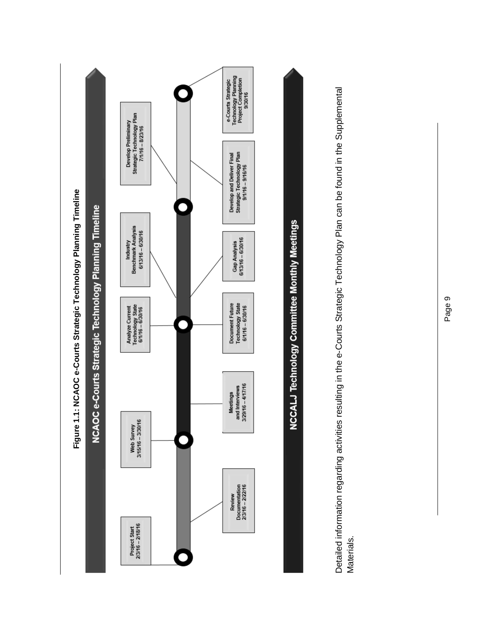

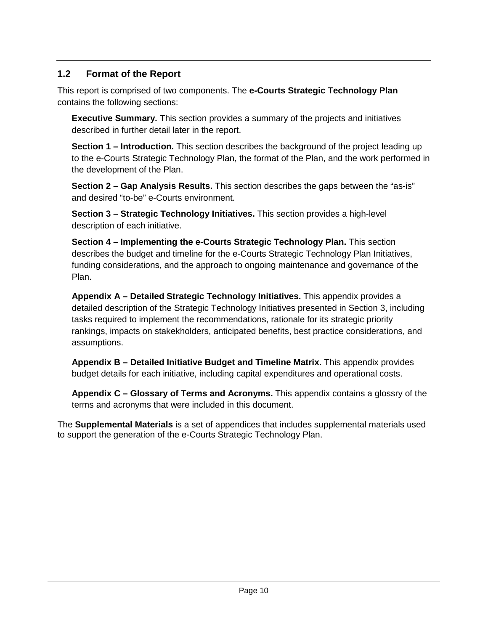#### <span id="page-13-0"></span>**1.2 Format of the Report**

This report is comprised of two components. The **e-Courts Strategic Technology Plan** contains the following sections:

**Executive Summary.** This section provides a summary of the projects and initiatives described in further detail later in the report.

**Section 1 – Introduction.** This section describes the background of the project leading up to the e-Courts Strategic Technology Plan, the format of the Plan, and the work performed in the development of the Plan.

**Section 2 – Gap Analysis Results.** This section describes the gaps between the "as-is" and desired "to-be" e-Courts environment.

**Section 3 – Strategic Technology Initiatives.** This section provides a high-level description of each initiative.

**Section 4 – Implementing the e-Courts Strategic Technology Plan.** This section describes the budget and timeline for the e-Courts Strategic Technology Plan Initiatives, funding considerations, and the approach to ongoing maintenance and governance of the Plan.

**Appendix A – Detailed Strategic Technology Initiatives.** This appendix provides a detailed description of the Strategic Technology Initiatives presented in Section 3, including tasks required to implement the recommendations, rationale for its strategic priority rankings, impacts on stakekholders, anticipated benefits, best practice considerations, and assumptions.

**Appendix B – Detailed Initiative Budget and Timeline Matrix.** This appendix provides budget details for each initiative, including capital expenditures and operational costs.

**Appendix C – Glossary of Terms and Acronyms.** This appendix contains a glossry of the terms and acronyms that were included in this document.

The **Supplemental Materials** is a set of appendices that includes supplemental materials used to support the generation of the e-Courts Strategic Technology Plan.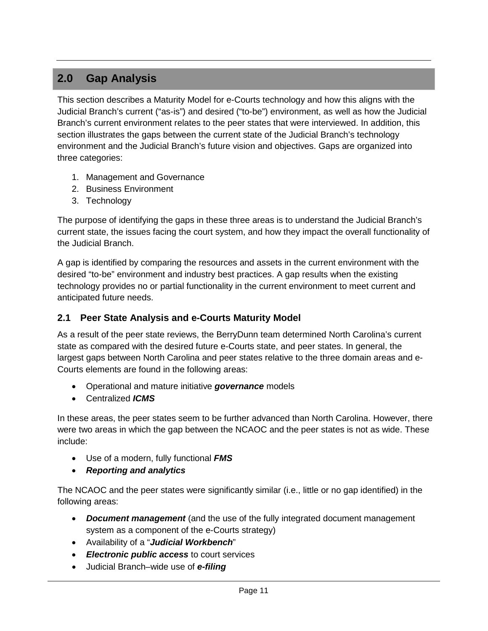#### <span id="page-14-0"></span>**2.0 Gap Analysis**

This section describes a Maturity Model for e-Courts technology and how this aligns with the Judicial Branch's current ("as-is") and desired ("to-be") environment, as well as how the Judicial Branch's current environment relates to the peer states that were interviewed. In addition, this section illustrates the gaps between the current state of the Judicial Branch's technology environment and the Judicial Branch's future vision and objectives. Gaps are organized into three categories:

- 1. Management and Governance
- 2. Business Environment
- 3. Technology

The purpose of identifying the gaps in these three areas is to understand the Judicial Branch's current state, the issues facing the court system, and how they impact the overall functionality of the Judicial Branch.

A gap is identified by comparing the resources and assets in the current environment with the desired "to-be" environment and industry best practices. A gap results when the existing technology provides no or partial functionality in the current environment to meet current and anticipated future needs.

#### <span id="page-14-1"></span>**2.1 Peer State Analysis and e-Courts Maturity Model**

As a result of the peer state reviews, the BerryDunn team determined North Carolina's current state as compared with the desired future e-Courts state, and peer states. In general, the largest gaps between North Carolina and peer states relative to the three domain areas and e-Courts elements are found in the following areas:

- Operational and mature initiative *governance* models
- Centralized *ICMS*

In these areas, the peer states seem to be further advanced than North Carolina. However, there were two areas in which the gap between the NCAOC and the peer states is not as wide. These include:

- Use of a modern, fully functional *FMS*
- *Reporting and analytics*

The NCAOC and the peer states were significantly similar (i.e., little or no gap identified) in the following areas:

- *Document management* (and the use of the fully integrated document management system as a component of the e-Courts strategy)
- Availability of a "*Judicial Workbench*"
- *Electronic public access* to court services
- Judicial Branch–wide use of *e-filing*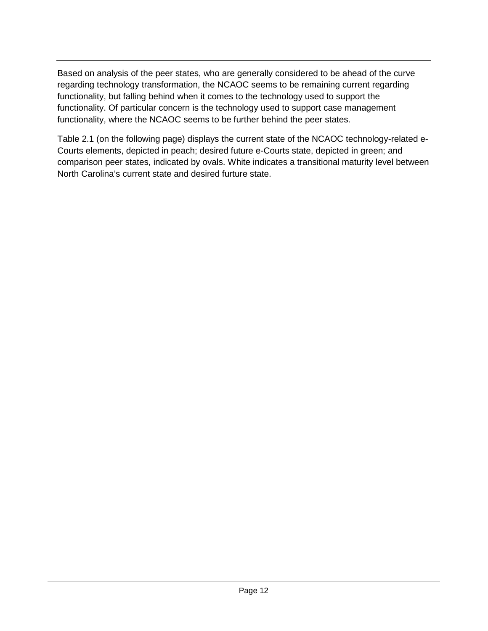Based on analysis of the peer states, who are generally considered to be ahead of the curve regarding technology transformation, the NCAOC seems to be remaining current regarding functionality, but falling behind when it comes to the technology used to support the functionality. Of particular concern is the technology used to support case management functionality, where the NCAOC seems to be further behind the peer states.

Table 2.1 (on the following page) displays the current state of the NCAOC technology-related e-Courts elements, depicted in peach; desired future e-Courts state, depicted in green; and comparison peer states, indicated by ovals. White indicates a transitional maturity level between North Carolina's current state and desired furture state.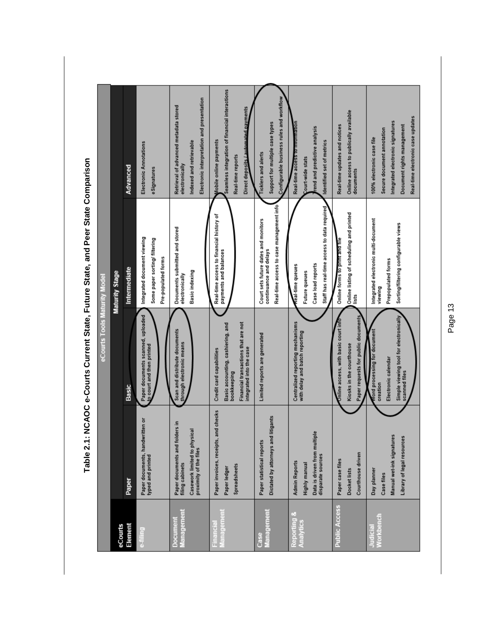|                          |                                                                                                             | eCourts Tools Maturity Model                                                                                                                    |                                                                                                               |                                                                                                                                                                |
|--------------------------|-------------------------------------------------------------------------------------------------------------|-------------------------------------------------------------------------------------------------------------------------------------------------|---------------------------------------------------------------------------------------------------------------|----------------------------------------------------------------------------------------------------------------------------------------------------------------|
| eCourts                  |                                                                                                             |                                                                                                                                                 | Maturity Stage                                                                                                |                                                                                                                                                                |
| Element                  | Paper                                                                                                       | Basic                                                                                                                                           | Intermediate                                                                                                  | Advanced                                                                                                                                                       |
| e-filing                 | Paper documents, handwritten or<br>typed and printed                                                        | Paper documents scanned, uploaded<br>o court and then printed                                                                                   | Integrated document viewing<br>Some paper sorting/ filtering<br>Pre-populated forms                           | Electronic Annotations<br>eSignatures                                                                                                                          |
| Management<br>Document   | Paper documents and folders in<br>Casework limited to physical<br>proximity of the files<br>filing cabinets | Scan and distribute documents<br>through electronic means                                                                                       | Documents submitted and stored<br>Basic indexing<br>electronically                                            | Electronic interpretation and presentation<br>Retrieval of advanced metadata stored<br>Indexed and retrievable<br>electronically                               |
| Management<br>Financial  | Paper invoices, receipts, and checks<br>Spreadsheets<br>Paper ledger                                        | Financial transactions that are not<br>Basic accounting, cashiering, and<br>integrated into the case<br>Credit card capabilities<br>bookkeeping | Real-time access to financial history of<br>payments and balances                                             | Seamless integration of financial interactions<br>Direct depos <u>its / automated pay</u> ments<br>Mobile online payments<br>Real-time reports                 |
| Management<br>Case       | litigants<br>Dictated by attorneys and<br>Paper statistical reports                                         | Limited reports are generated                                                                                                                   | Real-time access to case management info<br>Court sets future dates and monitors<br>continuance and delays    | Configurable business rules and workflow<br>Support for multiple case types<br>Ticklers and alerts                                                             |
| Reporting &<br>Analytics | Data is driven from multiple<br>disparate sources<br><b>Admin Reports</b><br>Highly manual                  | Centralized reporting mechanisms<br>with delay and batch reporting                                                                              | Staff has real-time access to data required<br>Case load reports<br>ceal-time queues<br>Future queues         | Real-time access to information<br>rend and predictive analysis<br>Identified set of metrics<br>Court-wide stats                                               |
| <b>Public Access</b>     | Courthouse driven<br>Paper case files<br>Docket lists                                                       | Paper requests for public documents<br>Online access, with basic court info<br>Kiosks in the courthouse                                         | Online listing of scheduling and printed<br>Online forms to print and file<br>lists                           | Online access to publically available<br>Real-time updates and notices<br>documents                                                                            |
| Workbench<br>Judicial    | Manual wet-ink signatures<br>Library of legal resources<br>Day planner<br>Case files                        | Simple viewing tool for electronically<br>Nord processing for document<br>Electronic calendar<br>scanned files<br>creation                      | Integrated electronic multi-document<br>Sorting/filtering configurable views<br>Prepopulated forms<br>viewing | Real-time electronic case updates<br>Integrated electronic signatures<br>Document rights management<br>Secure document annotation<br>100% electronic case file |

Table 2.1: NCAOC e-Courts Current State, Future State, and Peer State Comparison **Table 2.1: NCAOC e-Courts Current State, Future State, and Peer State Comparison**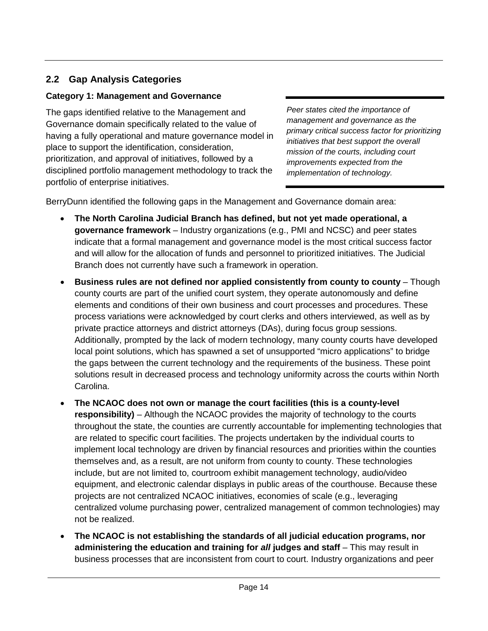#### <span id="page-17-0"></span>**2.2 Gap Analysis Categories**

#### <span id="page-17-1"></span>**Category 1: Management and Governance**

The gaps identified relative to the Management and Governance domain specifically related to the value of having a fully operational and mature governance model in place to support the identification, consideration, prioritization, and approval of initiatives, followed by a disciplined portfolio management methodology to track the portfolio of enterprise initiatives.

*Peer states cited the importance of management and governance as the primary critical success factor for prioritizing initiatives that best support the overall mission of the courts, including court improvements expected from the implementation of technology.*

BerryDunn identified the following gaps in the Management and Governance domain area:

- **The North Carolina Judicial Branch has defined, but not yet made operational, a governance framework** – Industry organizations (e.g., PMI and NCSC) and peer states indicate that a formal management and governance model is the most critical success factor and will allow for the allocation of funds and personnel to prioritized initiatives. The Judicial Branch does not currently have such a framework in operation.
- **Business rules are not defined nor applied consistently from county to county** Though county courts are part of the unified court system, they operate autonomously and define elements and conditions of their own business and court processes and procedures. These process variations were acknowledged by court clerks and others interviewed, as well as by private practice attorneys and district attorneys (DAs), during focus group sessions. Additionally, prompted by the lack of modern technology, many county courts have developed local point solutions, which has spawned a set of unsupported "micro applications" to bridge the gaps between the current technology and the requirements of the business. These point solutions result in decreased process and technology uniformity across the courts within North Carolina.
- **The NCAOC does not own or manage the court facilities (this is a county-level responsibility)** – Although the NCAOC provides the majority of technology to the courts throughout the state, the counties are currently accountable for implementing technologies that are related to specific court facilities. The projects undertaken by the individual courts to implement local technology are driven by financial resources and priorities within the counties themselves and, as a result, are not uniform from county to county. These technologies include, but are not limited to, courtroom exhibit management technology, audio/video equipment, and electronic calendar displays in public areas of the courthouse. Because these projects are not centralized NCAOC initiatives, economies of scale (e.g., leveraging centralized volume purchasing power, centralized management of common technologies) may not be realized.
- **The NCAOC is not establishing the standards of all judicial education programs, nor administering the education and training for** *all* **judges and staff** – This may result in business processes that are inconsistent from court to court. Industry organizations and peer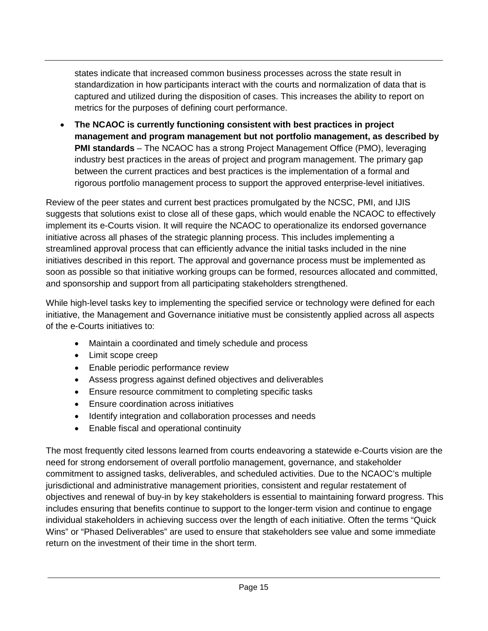states indicate that increased common business processes across the state result in standardization in how participants interact with the courts and normalization of data that is captured and utilized during the disposition of cases. This increases the ability to report on metrics for the purposes of defining court performance.

• **The NCAOC is currently functioning consistent with best practices in project management and program management but not portfolio management, as described by PMI standards** – The NCAOC has a strong Project Management Office (PMO), leveraging industry best practices in the areas of project and program management. The primary gap between the current practices and best practices is the implementation of a formal and rigorous portfolio management process to support the approved enterprise-level initiatives.

Review of the peer states and current best practices promulgated by the NCSC, PMI, and IJIS suggests that solutions exist to close all of these gaps, which would enable the NCAOC to effectively implement its e-Courts vision. It will require the NCAOC to operationalize its endorsed governance initiative across all phases of the strategic planning process. This includes implementing a streamlined approval process that can efficiently advance the initial tasks included in the nine initiatives described in this report. The approval and governance process must be implemented as soon as possible so that initiative working groups can be formed, resources allocated and committed, and sponsorship and support from all participating stakeholders strengthened.

While high-level tasks key to implementing the specified service or technology were defined for each initiative, the Management and Governance initiative must be consistently applied across all aspects of the e-Courts initiatives to:

- Maintain a coordinated and timely schedule and process
- Limit scope creep
- Enable periodic performance review
- Assess progress against defined objectives and deliverables
- Ensure resource commitment to completing specific tasks
- Ensure coordination across initiatives
- Identify integration and collaboration processes and needs
- Enable fiscal and operational continuity

The most frequently cited lessons learned from courts endeavoring a statewide e-Courts vision are the need for strong endorsement of overall portfolio management, governance, and stakeholder commitment to assigned tasks, deliverables, and scheduled activities. Due to the NCAOC's multiple jurisdictional and administrative management priorities, consistent and regular restatement of objectives and renewal of buy-in by key stakeholders is essential to maintaining forward progress. This includes ensuring that benefits continue to support to the longer-term vision and continue to engage individual stakeholders in achieving success over the length of each initiative. Often the terms "Quick Wins" or "Phased Deliverables" are used to ensure that stakeholders see value and some immediate return on the investment of their time in the short term.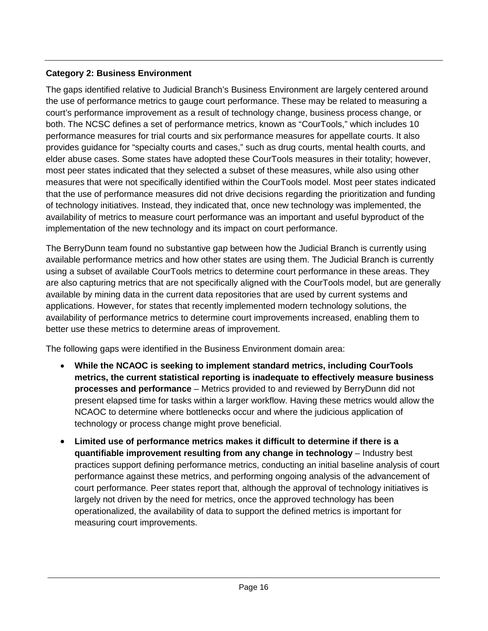#### <span id="page-19-0"></span>**Category 2: Business Environment**

The gaps identified relative to Judicial Branch's Business Environment are largely centered around the use of performance metrics to gauge court performance. These may be related to measuring a court's performance improvement as a result of technology change, business process change, or both. The NCSC defines a set of performance metrics, known as "CourTools," which includes 10 performance measures for trial courts and six performance measures for appellate courts. It also provides guidance for "specialty courts and cases," such as drug courts, mental health courts, and elder abuse cases. Some states have adopted these CourTools measures in their totality; however, most peer states indicated that they selected a subset of these measures, while also using other measures that were not specifically identified within the CourTools model. Most peer states indicated that the use of performance measures did not drive decisions regarding the prioritization and funding of technology initiatives. Instead, they indicated that, once new technology was implemented, the availability of metrics to measure court performance was an important and useful byproduct of the implementation of the new technology and its impact on court performance.

The BerryDunn team found no substantive gap between how the Judicial Branch is currently using available performance metrics and how other states are using them. The Judicial Branch is currently using a subset of available CourTools metrics to determine court performance in these areas. They are also capturing metrics that are not specifically aligned with the CourTools model, but are generally available by mining data in the current data repositories that are used by current systems and applications. However, for states that recently implemented modern technology solutions, the availability of performance metrics to determine court improvements increased, enabling them to better use these metrics to determine areas of improvement.

The following gaps were identified in the Business Environment domain area:

- **While the NCAOC is seeking to implement standard metrics, including CourTools metrics, the current statistical reporting is inadequate to effectively measure business processes and performance** – Metrics provided to and reviewed by BerryDunn did not present elapsed time for tasks within a larger workflow. Having these metrics would allow the NCAOC to determine where bottlenecks occur and where the judicious application of technology or process change might prove beneficial.
- **Limited use of performance metrics makes it difficult to determine if there is a quantifiable improvement resulting from any change in technology – Industry best** practices support defining performance metrics, conducting an initial baseline analysis of court performance against these metrics, and performing ongoing analysis of the advancement of court performance. Peer states report that, although the approval of technology initiatives is largely not driven by the need for metrics, once the approved technology has been operationalized, the availability of data to support the defined metrics is important for measuring court improvements.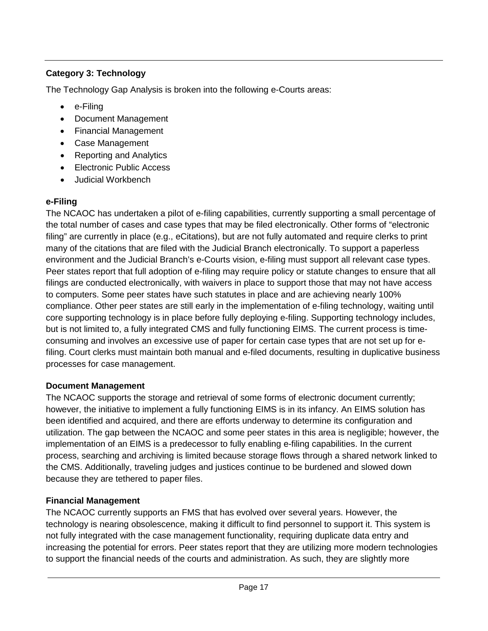#### <span id="page-20-0"></span>**Category 3: Technology**

The Technology Gap Analysis is broken into the following e-Courts areas:

- e-Filing
- Document Management
- Financial Management
- Case Management
- Reporting and Analytics
- Electronic Public Access
- Judicial Workbench

#### **e-Filing**

The NCAOC has undertaken a pilot of e-filing capabilities, currently supporting a small percentage of the total number of cases and case types that may be filed electronically. Other forms of "electronic filing" are currently in place (e.g., eCitations), but are not fully automated and require clerks to print many of the citations that are filed with the Judicial Branch electronically. To support a paperless environment and the Judicial Branch's e-Courts vision, e-filing must support all relevant case types. Peer states report that full adoption of e-filing may require policy or statute changes to ensure that all filings are conducted electronically, with waivers in place to support those that may not have access to computers. Some peer states have such statutes in place and are achieving nearly 100% compliance. Other peer states are still early in the implementation of e-filing technology, waiting until core supporting technology is in place before fully deploying e-filing. Supporting technology includes, but is not limited to, a fully integrated CMS and fully functioning EIMS. The current process is timeconsuming and involves an excessive use of paper for certain case types that are not set up for efiling. Court clerks must maintain both manual and e-filed documents, resulting in duplicative business processes for case management.

#### **Document Management**

The NCAOC supports the storage and retrieval of some forms of electronic document currently; however, the initiative to implement a fully functioning EIMS is in its infancy. An EIMS solution has been identified and acquired, and there are efforts underway to determine its configuration and utilization. The gap between the NCAOC and some peer states in this area is negligible; however, the implementation of an EIMS is a predecessor to fully enabling e-filing capabilities. In the current process, searching and archiving is limited because storage flows through a shared network linked to the CMS. Additionally, traveling judges and justices continue to be burdened and slowed down because they are tethered to paper files.

#### **Financial Management**

The NCAOC currently supports an FMS that has evolved over several years. However, the technology is nearing obsolescence, making it difficult to find personnel to support it. This system is not fully integrated with the case management functionality, requiring duplicate data entry and increasing the potential for errors. Peer states report that they are utilizing more modern technologies to support the financial needs of the courts and administration. As such, they are slightly more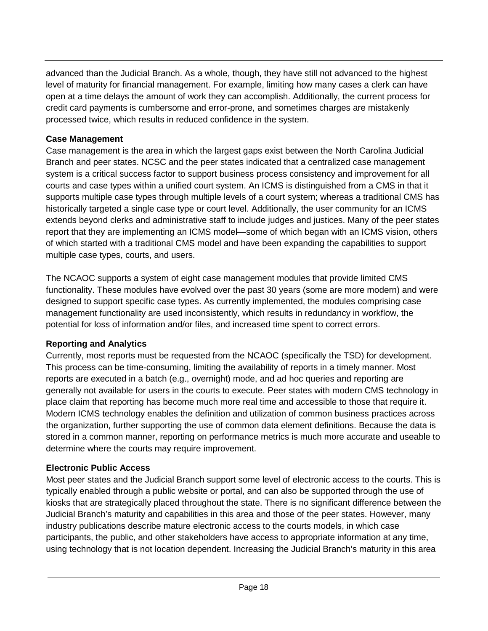advanced than the Judicial Branch. As a whole, though, they have still not advanced to the highest level of maturity for financial management. For example, limiting how many cases a clerk can have open at a time delays the amount of work they can accomplish. Additionally, the current process for credit card payments is cumbersome and error-prone, and sometimes charges are mistakenly processed twice, which results in reduced confidence in the system.

#### **Case Management**

Case management is the area in which the largest gaps exist between the North Carolina Judicial Branch and peer states. NCSC and the peer states indicated that a centralized case management system is a critical success factor to support business process consistency and improvement for all courts and case types within a unified court system. An ICMS is distinguished from a CMS in that it supports multiple case types through multiple levels of a court system; whereas a traditional CMS has historically targeted a single case type or court level. Additionally, the user community for an ICMS extends beyond clerks and administrative staff to include judges and justices. Many of the peer states report that they are implementing an ICMS model—some of which began with an ICMS vision, others of which started with a traditional CMS model and have been expanding the capabilities to support multiple case types, courts, and users.

The NCAOC supports a system of eight case management modules that provide limited CMS functionality. These modules have evolved over the past 30 years (some are more modern) and were designed to support specific case types. As currently implemented, the modules comprising case management functionality are used inconsistently, which results in redundancy in workflow, the potential for loss of information and/or files, and increased time spent to correct errors.

#### **Reporting and Analytics**

Currently, most reports must be requested from the NCAOC (specifically the TSD) for development. This process can be time-consuming, limiting the availability of reports in a timely manner. Most reports are executed in a batch (e.g., overnight) mode, and ad hoc queries and reporting are generally not available for users in the courts to execute. Peer states with modern CMS technology in place claim that reporting has become much more real time and accessible to those that require it. Modern ICMS technology enables the definition and utilization of common business practices across the organization, further supporting the use of common data element definitions. Because the data is stored in a common manner, reporting on performance metrics is much more accurate and useable to determine where the courts may require improvement.

#### **Electronic Public Access**

Most peer states and the Judicial Branch support some level of electronic access to the courts. This is typically enabled through a public website or portal, and can also be supported through the use of kiosks that are strategically placed throughout the state. There is no significant difference between the Judicial Branch's maturity and capabilities in this area and those of the peer states. However, many industry publications describe mature electronic access to the courts models, in which case participants, the public, and other stakeholders have access to appropriate information at any time, using technology that is not location dependent. Increasing the Judicial Branch's maturity in this area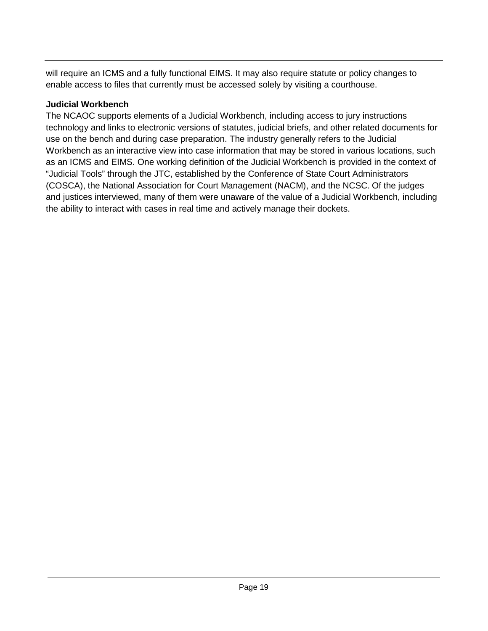will require an ICMS and a fully functional EIMS. It may also require statute or policy changes to enable access to files that currently must be accessed solely by visiting a courthouse.

#### **Judicial Workbench**

The NCAOC supports elements of a Judicial Workbench, including access to jury instructions technology and links to electronic versions of statutes, judicial briefs, and other related documents for use on the bench and during case preparation. The industry generally refers to the Judicial Workbench as an interactive view into case information that may be stored in various locations, such as an ICMS and EIMS. One working definition of the Judicial Workbench is provided in the context of "Judicial Tools" through the JTC, established by the Conference of State Court Administrators (COSCA), the National Association for Court Management (NACM), and the NCSC. Of the judges and justices interviewed, many of them were unaware of the value of a Judicial Workbench, including the ability to interact with cases in real time and actively manage their dockets.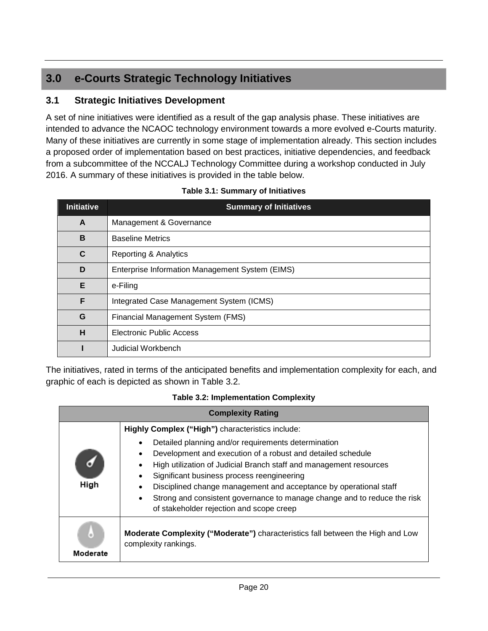#### <span id="page-23-0"></span>**3.0 e-Courts Strategic Technology Initiatives**

#### <span id="page-23-1"></span>**3.1 Strategic Initiatives Development**

A set of nine initiatives were identified as a result of the gap analysis phase. These initiatives are intended to advance the NCAOC technology environment towards a more evolved e-Courts maturity. Many of these initiatives are currently in some stage of implementation already. This section includes a proposed order of implementation based on best practices, initiative dependencies, and feedback from a subcommittee of the NCCALJ Technology Committee during a workshop conducted in July 2016. A summary of these initiatives is provided in the table below.

| <b>Initiative</b> | <b>Summary of Initiatives</b>                   |  |
|-------------------|-------------------------------------------------|--|
| A                 | Management & Governance                         |  |
| B                 | <b>Baseline Metrics</b>                         |  |
| C                 | Reporting & Analytics                           |  |
| D                 | Enterprise Information Management System (EIMS) |  |
| Е                 | e-Filing                                        |  |
| F                 | Integrated Case Management System (ICMS)        |  |
| G                 | Financial Management System (FMS)               |  |
| н                 | <b>Electronic Public Access</b>                 |  |
|                   | Judicial Workbench                              |  |

| Table 3.1: Summary of Initiatives |  |
|-----------------------------------|--|
|-----------------------------------|--|

The initiatives, rated in terms of the anticipated benefits and implementation complexity for each, and graphic of each is depicted as shown in Table 3.2.

|  | <b>Table 3.2: Implementation Complexity</b> |  |
|--|---------------------------------------------|--|
|--|---------------------------------------------|--|

|          | <b>Complexity Rating</b>                                                                                                                                                                                                                                                                                                                                                                                                            |
|----------|-------------------------------------------------------------------------------------------------------------------------------------------------------------------------------------------------------------------------------------------------------------------------------------------------------------------------------------------------------------------------------------------------------------------------------------|
|          | Highly Complex ("High") characteristics include:                                                                                                                                                                                                                                                                                                                                                                                    |
| High     | Detailed planning and/or requirements determination<br>Development and execution of a robust and detailed schedule<br>High utilization of Judicial Branch staff and management resources<br>Significant business process reengineering<br>Disciplined change management and acceptance by operational staff<br>Strong and consistent governance to manage change and to reduce the risk<br>of stakeholder rejection and scope creep |
| Moderate | <b>Moderate Complexity ("Moderate")</b> characteristics fall between the High and Low<br>complexity rankings.                                                                                                                                                                                                                                                                                                                       |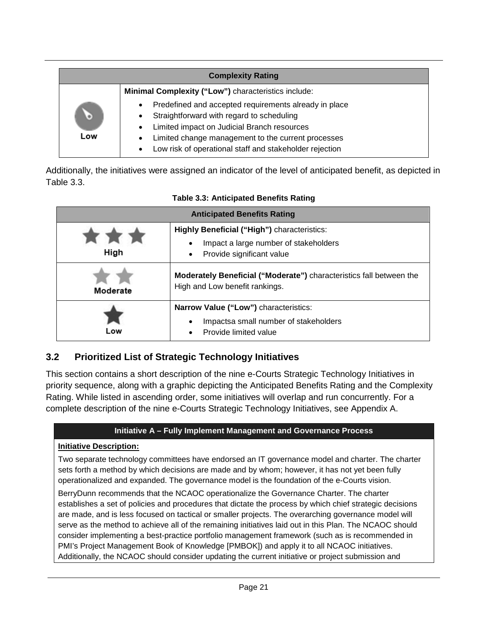|          | <b>Complexity Rating</b>                                                                                                                                                                                                                                                                                  |
|----------|-----------------------------------------------------------------------------------------------------------------------------------------------------------------------------------------------------------------------------------------------------------------------------------------------------------|
|          | Minimal Complexity ("Low") characteristics include:                                                                                                                                                                                                                                                       |
| O<br>Low | Predefined and accepted requirements already in place<br>$\bullet$<br>Straightforward with regard to scheduling<br>$\bullet$<br>Limited impact on Judicial Branch resources<br>$\bullet$<br>Limited change management to the current processes<br>Low risk of operational staff and stakeholder rejection |

Additionally, the initiatives were assigned an indicator of the level of anticipated benefit, as depicted in Table 3.3.

|          | <b>Anticipated Benefits Rating</b>                                                                                       |
|----------|--------------------------------------------------------------------------------------------------------------------------|
| High     | <b>Highly Beneficial ("High")</b> characteristics:<br>Impact a large number of stakeholders<br>Provide significant value |
| Moderate | <b>Moderately Beneficial ("Moderate")</b> characteristics fall between the<br>High and Low benefit rankings.             |
| Low      | Narrow Value ("Low") characteristics:<br>Impactsa small number of stakeholders<br>$\bullet$<br>Provide limited value     |

#### **Table 3.3: Anticipated Benefits Rating**

#### <span id="page-24-0"></span>**3.2 Prioritized List of Strategic Technology Initiatives**

This section contains a short description of the nine e-Courts Strategic Technology Initiatives in priority sequence, along with a graphic depicting the Anticipated Benefits Rating and the Complexity Rating. While listed in ascending order, some initiatives will overlap and run concurrently. For a complete description of the nine e-Courts Strategic Technology Initiatives, see Appendix A.

#### **Initiative A – Fully Implement Management and Governance Process**

#### **Initiative Description:**

Two separate technology committees have endorsed an IT governance model and charter. The charter sets forth a method by which decisions are made and by whom; however, it has not yet been fully operationalized and expanded. The governance model is the foundation of the e-Courts vision.

BerryDunn recommends that the NCAOC operationalize the Governance Charter. The charter establishes a set of policies and procedures that dictate the process by which chief strategic decisions are made, and is less focused on tactical or smaller projects. The overarching governance model will serve as the method to achieve all of the remaining initiatives laid out in this Plan. The NCAOC should consider implementing a best-practice portfolio management framework (such as is recommended in PMI's Project Management Book of Knowledge [PMBOK]) and apply it to all NCAOC initiatives. Additionally, the NCAOC should consider updating the current initiative or project submission and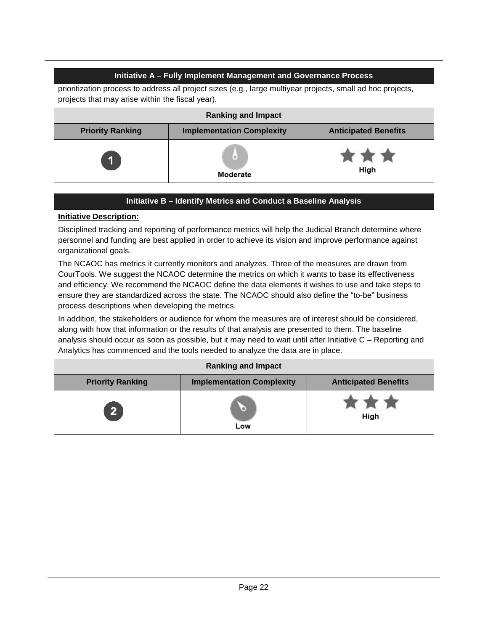|                                                                                                                                                                 | Initiative A - Fully Implement Management and Governance Process |             |  |
|-----------------------------------------------------------------------------------------------------------------------------------------------------------------|------------------------------------------------------------------|-------------|--|
| prioritization process to address all project sizes (e.g., large multiyear projects, small ad hoc projects,<br>projects that may arise within the fiscal year). |                                                                  |             |  |
| <b>Ranking and Impact</b>                                                                                                                                       |                                                                  |             |  |
| <b>Implementation Complexity</b><br><b>Priority Ranking</b><br><b>Anticipated Benefits</b>                                                                      |                                                                  |             |  |
| $\mathbf 1$                                                                                                                                                     | ω.<br>Moderate                                                   | ***<br>High |  |

#### **Initiative B – Identify Metrics and Conduct a Baseline Analysis**

#### **Initiative Description:**

Disciplined tracking and reporting of performance metrics will help the Judicial Branch determine where personnel and funding are best applied in order to achieve its vision and improve performance against organizational goals.

The NCAOC has metrics it currently monitors and analyzes. Three of the measures are drawn from CourTools. We suggest the NCAOC determine the metrics on which it wants to base its effectiveness and efficiency. We recommend the NCAOC define the data elements it wishes to use and take steps to ensure they are standardized across the state. The NCAOC should also define the "to-be" business process descriptions when developing the metrics.

In addition, the stakeholders or audience for whom the measures are of interest should be considered, along with how that information or the results of that analysis are presented to them. The baseline analysis should occur as soon as possible, but it may need to wait until after Initiative C – Reporting and Analytics has commenced and the tools needed to analyze the data are in place.

|                         | <b>Ranking and Impact</b>        |                             |
|-------------------------|----------------------------------|-----------------------------|
| <b>Priority Ranking</b> | <b>Implementation Complexity</b> | <b>Anticipated Benefits</b> |
| <b>27</b>               | $\bullet$<br>Low                 | * * *<br>High               |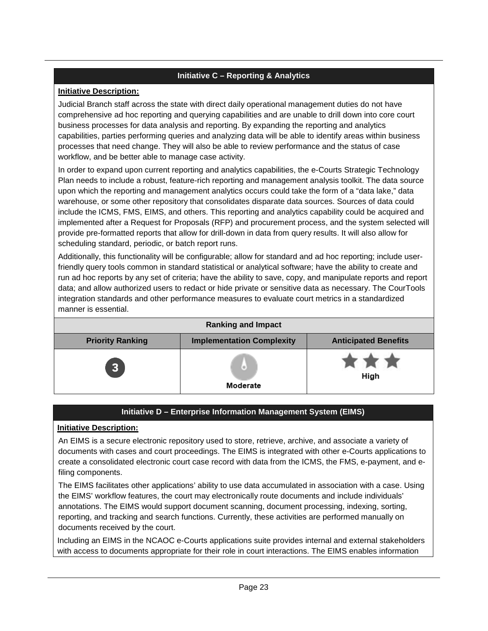#### **Initiative C – Reporting & Analytics**

#### **Initiative Description:**

Judicial Branch staff across the state with direct daily operational management duties do not have comprehensive ad hoc reporting and querying capabilities and are unable to drill down into core court business processes for data analysis and reporting. By expanding the reporting and analytics capabilities, parties performing queries and analyzing data will be able to identify areas within business processes that need change. They will also be able to review performance and the status of case workflow, and be better able to manage case activity.

In order to expand upon current reporting and analytics capabilities, the e-Courts Strategic Technology Plan needs to include a robust, feature-rich reporting and management analysis toolkit. The data source upon which the reporting and management analytics occurs could take the form of a "data lake," data warehouse, or some other repository that consolidates disparate data sources. Sources of data could include the ICMS, FMS, EIMS, and others. This reporting and analytics capability could be acquired and implemented after a Request for Proposals (RFP) and procurement process, and the system selected will provide pre-formatted reports that allow for drill-down in data from query results. It will also allow for scheduling standard, periodic, or batch report runs.

Additionally, this functionality will be configurable; allow for standard and ad hoc reporting; include userfriendly query tools common in standard statistical or analytical software; have the ability to create and run ad hoc reports by any set of criteria; have the ability to save, copy, and manipulate reports and report data; and allow authorized users to redact or hide private or sensitive data as necessary. The CourTools integration standards and other performance measures to evaluate court metrics in a standardized manner is essential.

|                         | <b>Ranking and Impact</b>        |                             |
|-------------------------|----------------------------------|-----------------------------|
| <b>Priority Ranking</b> | <b>Implementation Complexity</b> | <b>Anticipated Benefits</b> |
| <b>B</b>                | (o)<br>Moderate                  | <b>RETAIL</b><br>High       |

#### **Initiative D – Enterprise Information Management System (EIMS)**

#### **Initiative Description:**

An EIMS is a secure electronic repository used to store, retrieve, archive, and associate a variety of documents with cases and court proceedings. The EIMS is integrated with other e-Courts applications to create a consolidated electronic court case record with data from the ICMS, the FMS, e-payment, and efiling components.

The EIMS facilitates other applications' ability to use data accumulated in association with a case. Using the EIMS' workflow features, the court may electronically route documents and include individuals' annotations. The EIMS would support document scanning, document processing, indexing, sorting, reporting, and tracking and search functions. Currently, these activities are performed manually on documents received by the court.

Including an EIMS in the NCAOC e-Courts applications suite provides internal and external stakeholders with access to documents appropriate for their role in court interactions. The EIMS enables information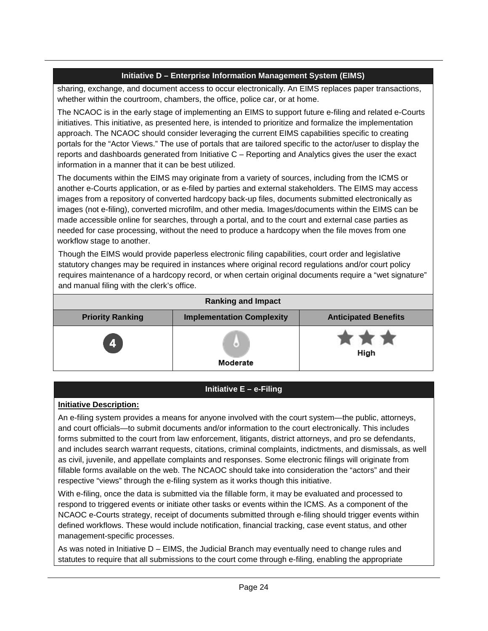#### **Initiative D – Enterprise Information Management System (EIMS)**

sharing, exchange, and document access to occur electronically. An EIMS replaces paper transactions, whether within the courtroom, chambers, the office, police car, or at home.

The NCAOC is in the early stage of implementing an EIMS to support future e-filing and related e-Courts initiatives. This initiative, as presented here, is intended to prioritize and formalize the implementation approach. The NCAOC should consider leveraging the current EIMS capabilities specific to creating portals for the "Actor Views." The use of portals that are tailored specific to the actor/user to display the reports and dashboards generated from Initiative C – Reporting and Analytics gives the user the exact information in a manner that it can be best utilized.

The documents within the EIMS may originate from a variety of sources, including from the ICMS or another e-Courts application, or as e-filed by parties and external stakeholders. The EIMS may access images from a repository of converted hardcopy back-up files, documents submitted electronically as images (not e-filing), converted microfilm, and other media. Images/documents within the EIMS can be made accessible online for searches, through a portal, and to the court and external case parties as needed for case processing, without the need to produce a hardcopy when the file moves from one workflow stage to another.

Though the EIMS would provide paperless electronic filing capabilities, court order and legislative statutory changes may be required in instances where original record regulations and/or court policy requires maintenance of a hardcopy record, or when certain original documents require a "wet signature" and manual filing with the clerk's office.

|                         | <b>Ranking and Impact</b>          |                             |
|-------------------------|------------------------------------|-----------------------------|
| <b>Priority Ranking</b> | <b>Implementation Complexity</b>   | <b>Anticipated Benefits</b> |
| $\overline{\mathbf{4}}$ | $\left( \circ \right)$<br>Moderate | * * *<br>High               |

#### **Initiative E – e-Filing**

#### **Initiative Description:**

An e-filing system provides a means for anyone involved with the court system—the public, attorneys, and court officials—to submit documents and/or information to the court electronically. This includes forms submitted to the court from law enforcement, litigants, district attorneys, and pro se defendants, and includes search warrant requests, citations, criminal complaints, indictments, and dismissals, as well as civil, juvenile, and appellate complaints and responses. Some electronic filings will originate from fillable forms available on the web. The NCAOC should take into consideration the "actors" and their respective "views" through the e-filing system as it works though this initiative.

With e-filing, once the data is submitted via the fillable form, it may be evaluated and processed to respond to triggered events or initiate other tasks or events within the ICMS. As a component of the NCAOC e-Courts strategy, receipt of documents submitted through e-filing should trigger events within defined workflows. These would include notification, financial tracking, case event status, and other management-specific processes.

As was noted in Initiative D – EIMS, the Judicial Branch may eventually need to change rules and statutes to require that all submissions to the court come through e-filing, enabling the appropriate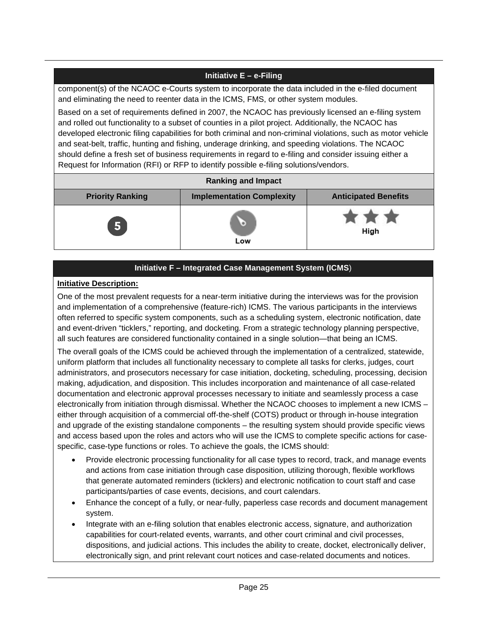#### **Initiative E – e-Filing**

component(s) of the NCAOC e-Courts system to incorporate the data included in the e-filed document and eliminating the need to reenter data in the ICMS, FMS, or other system modules.

Based on a set of requirements defined in 2007, the NCAOC has previously licensed an e-filing system and rolled out functionality to a subset of counties in a pilot project. Additionally, the NCAOC has developed electronic filing capabilities for both criminal and non-criminal violations, such as motor vehicle and seat-belt, traffic, hunting and fishing, underage drinking, and speeding violations. The NCAOC should define a fresh set of business requirements in regard to e-filing and consider issuing either a Request for Information (RFI) or RFP to identify possible e-filing solutions/vendors.

|                         | <b>Ranking and Impact</b>        |                             |
|-------------------------|----------------------------------|-----------------------------|
| <b>Priority Ranking</b> | <b>Implementation Complexity</b> | <b>Anticipated Benefits</b> |
| 5                       | ۱e)<br>Low                       | <b>KINDRE</b><br>High       |

#### **Initiative F – Integrated Case Management System (ICMS**)

#### **Initiative Description:**

One of the most prevalent requests for a near-term initiative during the interviews was for the provision and implementation of a comprehensive (feature-rich) ICMS. The various participants in the interviews often referred to specific system components, such as a scheduling system, electronic notification, date and event-driven "ticklers," reporting, and docketing. From a strategic technology planning perspective, all such features are considered functionality contained in a single solution—that being an ICMS.

The overall goals of the ICMS could be achieved through the implementation of a centralized, statewide, uniform platform that includes all functionality necessary to complete all tasks for clerks, judges, court administrators, and prosecutors necessary for case initiation, docketing, scheduling, processing, decision making, adjudication, and disposition. This includes incorporation and maintenance of all case-related documentation and electronic approval processes necessary to initiate and seamlessly process a case electronically from initiation through dismissal. Whether the NCAOC chooses to implement a new ICMS – either through acquisition of a commercial off-the-shelf (COTS) product or through in-house integration and upgrade of the existing standalone components – the resulting system should provide specific views and access based upon the roles and actors who will use the ICMS to complete specific actions for casespecific, case-type functions or roles. To achieve the goals, the ICMS should:

- Provide electronic processing functionality for all case types to record, track, and manage events and actions from case initiation through case disposition, utilizing thorough, flexible workflows that generate automated reminders (ticklers) and electronic notification to court staff and case participants/parties of case events, decisions, and court calendars.
- Enhance the concept of a fully, or near-fully, paperless case records and document management system.
- Integrate with an e-filing solution that enables electronic access, signature, and authorization capabilities for court-related events, warrants, and other court criminal and civil processes, dispositions, and judicial actions. This includes the ability to create, docket, electronically deliver, electronically sign, and print relevant court notices and case-related documents and notices.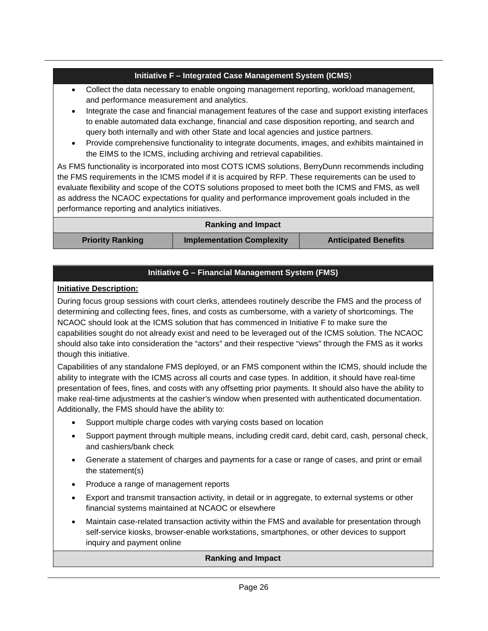#### **Initiative F – Integrated Case Management System (ICMS**)

- Collect the data necessary to enable ongoing management reporting, workload management, and performance measurement and analytics.
- Integrate the case and financial management features of the case and support existing interfaces to enable automated data exchange, financial and case disposition reporting, and search and query both internally and with other State and local agencies and justice partners.
- Provide comprehensive functionality to integrate documents, images, and exhibits maintained in the EIMS to the ICMS, including archiving and retrieval capabilities.

As FMS functionality is incorporated into most COTS ICMS solutions, BerryDunn recommends including the FMS requirements in the ICMS model if it is acquired by RFP. These requirements can be used to evaluate flexibility and scope of the COTS solutions proposed to meet both the ICMS and FMS, as well as address the NCAOC expectations for quality and performance improvement goals included in the performance reporting and analytics initiatives.

|                         | <b>Ranking and Impact</b>        |                             |
|-------------------------|----------------------------------|-----------------------------|
| <b>Priority Ranking</b> | <b>Implementation Complexity</b> | <b>Anticipated Benefits</b> |

#### **Initiative G – Financial Management System (FMS)**

#### **Initiative Description:**

During focus group sessions with court clerks, attendees routinely describe the FMS and the process of determining and collecting fees, fines, and costs as cumbersome, with a variety of shortcomings. The NCAOC should look at the ICMS solution that has commenced in Initiative F to make sure the capabilities sought do not already exist and need to be leveraged out of the ICMS solution. The NCAOC should also take into consideration the "actors" and their respective "views" through the FMS as it works though this initiative.

Capabilities of any standalone FMS deployed, or an FMS component within the ICMS, should include the ability to integrate with the ICMS across all courts and case types. In addition, it should have real-time presentation of fees, fines, and costs with any offsetting prior payments. It should also have the ability to make real-time adjustments at the cashier's window when presented with authenticated documentation. Additionally, the FMS should have the ability to:

- Support multiple charge codes with varying costs based on location
- Support payment through multiple means, including credit card, debit card, cash, personal check, and cashiers/bank check
- Generate a statement of charges and payments for a case or range of cases, and print or email the statement(s)
- Produce a range of management reports
- Export and transmit transaction activity, in detail or in aggregate, to external systems or other financial systems maintained at NCAOC or elsewhere
- Maintain case-related transaction activity within the FMS and available for presentation through self-service kiosks, browser-enable workstations, smartphones, or other devices to support inquiry and payment online

#### **Ranking and Impact**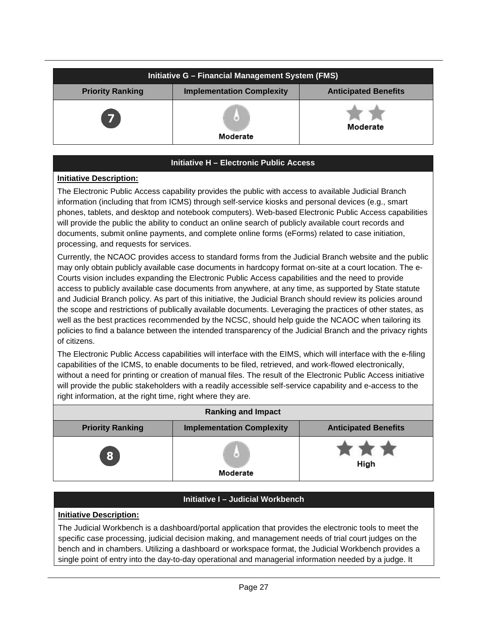|                         | Initiative G - Financial Management System (FMS) |                             |
|-------------------------|--------------------------------------------------|-----------------------------|
| <b>Priority Ranking</b> | <b>Implementation Complexity</b>                 | <b>Anticipated Benefits</b> |
| $\overline{7}$          | $\circ$<br>Moderate                              | Moderate                    |

#### **Initiative H – Electronic Public Access**

#### **Initiative Description:**

The Electronic Public Access capability provides the public with access to available Judicial Branch information (including that from ICMS) through self-service kiosks and personal devices (e.g., smart phones, tablets, and desktop and notebook computers). Web-based Electronic Public Access capabilities will provide the public the ability to conduct an online search of publicly available court records and documents, submit online payments, and complete online forms (eForms) related to case initiation, processing, and requests for services.

Currently, the NCAOC provides access to standard forms from the Judicial Branch website and the public may only obtain publicly available case documents in hardcopy format on-site at a court location. The e-Courts vision includes expanding the Electronic Public Access capabilities and the need to provide access to publicly available case documents from anywhere, at any time, as supported by State statute and Judicial Branch policy. As part of this initiative, the Judicial Branch should review its policies around the scope and restrictions of publically available documents. Leveraging the practices of other states, as well as the best practices recommended by the NCSC, should help guide the NCAOC when tailoring its policies to find a balance between the intended transparency of the Judicial Branch and the privacy rights of citizens.

The Electronic Public Access capabilities will interface with the EIMS, which will interface with the e-filing capabilities of the ICMS, to enable documents to be filed, retrieved, and work-flowed electronically, without a need for printing or creation of manual files. The result of the Electronic Public Access initiative will provide the public stakeholders with a readily accessible self-service capability and e-access to the right information, at the right time, right where they are.

|                         | <b>Ranking and Impact</b>        |                             |
|-------------------------|----------------------------------|-----------------------------|
| <b>Priority Ranking</b> | <b>Implementation Complexity</b> | <b>Anticipated Benefits</b> |
| 8                       | $\Theta$<br>Moderate             | High                        |

#### **Initiative I – Judicial Workbench**

#### **Initiative Description:**

The Judicial Workbench is a dashboard/portal application that provides the electronic tools to meet the specific case processing, judicial decision making, and management needs of trial court judges on the bench and in chambers. Utilizing a dashboard or workspace format, the Judicial Workbench provides a single point of entry into the day-to-day operational and managerial information needed by a judge. It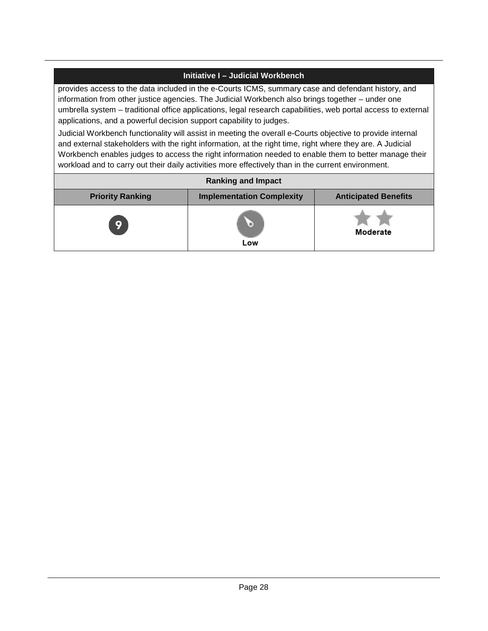#### **Initiative I – Judicial Workbench**

provides access to the data included in the e-Courts ICMS, summary case and defendant history, and information from other justice agencies. The Judicial Workbench also brings together – under one umbrella system – traditional office applications, legal research capabilities, web portal access to external applications, and a powerful decision support capability to judges.

Judicial Workbench functionality will assist in meeting the overall e-Courts objective to provide internal and external stakeholders with the right information, at the right time, right where they are. A Judicial Workbench enables judges to access the right information needed to enable them to better manage their workload and to carry out their daily activities more effectively than in the current environment.

|                         | <b>Ranking and Impact</b>        |                             |
|-------------------------|----------------------------------|-----------------------------|
| <b>Priority Ranking</b> | <b>Implementation Complexity</b> | <b>Anticipated Benefits</b> |
| 9                       | Low                              | Moderate                    |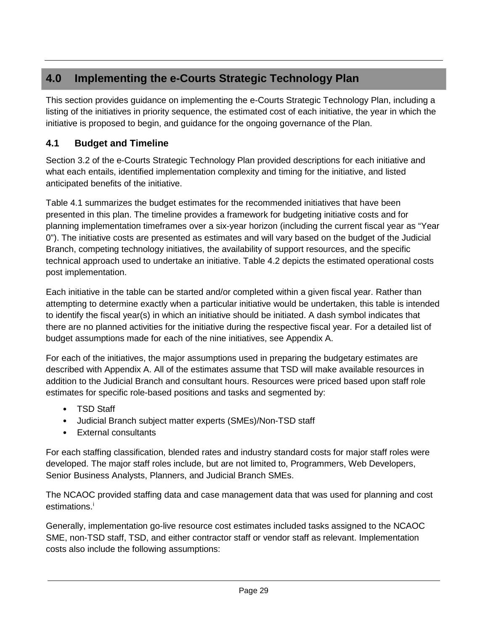#### <span id="page-32-0"></span>**4.0 Implementing the e-Courts Strategic Technology Plan**

This section provides guidance on implementing the e-Courts Strategic Technology Plan, including a listing of the initiatives in priority sequence, the estimated cost of each initiative, the year in which the initiative is proposed to begin, and guidance for the ongoing governance of the Plan.

#### <span id="page-32-1"></span>**4.1 Budget and Timeline**

Section 3.2 of the e-Courts Strategic Technology Plan provided descriptions for each initiative and what each entails, identified implementation complexity and timing for the initiative, and listed anticipated benefits of the initiative.

Table 4.1 summarizes the budget estimates for the recommended initiatives that have been presented in this plan. The timeline provides a framework for budgeting initiative costs and for planning implementation timeframes over a six-year horizon (including the current fiscal year as "Year 0"). The initiative costs are presented as estimates and will vary based on the budget of the Judicial Branch, competing technology initiatives, the availability of support resources, and the specific technical approach used to undertake an initiative. Table 4.2 depicts the estimated operational costs post implementation.

Each initiative in the table can be started and/or completed within a given fiscal year. Rather than attempting to determine exactly when a particular initiative would be undertaken, this table is intended to identify the fiscal year(s) in which an initiative should be initiated. A dash symbol indicates that there are no planned activities for the initiative during the respective fiscal year. For a detailed list of budget assumptions made for each of the nine initiatives, see Appendix A.

For each of the initiatives, the major assumptions used in preparing the budgetary estimates are described with Appendix A. All of the estimates assume that TSD will make available resources in addition to the Judicial Branch and consultant hours. Resources were priced based upon staff role estimates for specific role-based positions and tasks and segmented by:

- TSD Staff
- Judicial Branch subject matter experts (SMEs)/Non-TSD staff
- External consultants

For each staffing classification, blended rates and industry standard costs for major staff roles were developed. The major staff roles include, but are not limited to, Programmers, Web Developers, Senior Business Analysts, Planners, and Judicial Branch SMEs.

The NCAOC provided staffing data and case management data that was used for planning and cost est[i](#page-33-0)mations.<sup>i</sup>

Generally, implementation go-live resource cost estimates included tasks assigned to the NCAOC SME, non-TSD staff, TSD, and either contractor staff or vendor staff as relevant. Implementation costs also include the following assumptions: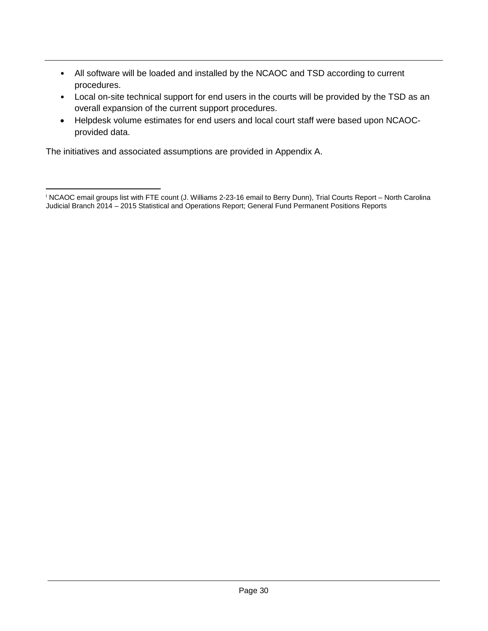- All software will be loaded and installed by the NCAOC and TSD according to current procedures.
- Local on-site technical support for end users in the courts will be provided by the TSD as an overall expansion of the current support procedures.
- Helpdesk volume estimates for end users and local court staff were based upon NCAOCprovided data.

The initiatives and associated assumptions are provided in Appendix A.

<span id="page-33-0"></span><sup>i</sup> NCAOC email groups list with FTE count (J. Williams 2-23-16 email to Berry Dunn), Trial Courts Report – North Carolina Judicial Branch 2014 – 2015 Statistical and Operations Report; General Fund Permanent Positions Reports  $\overline{a}$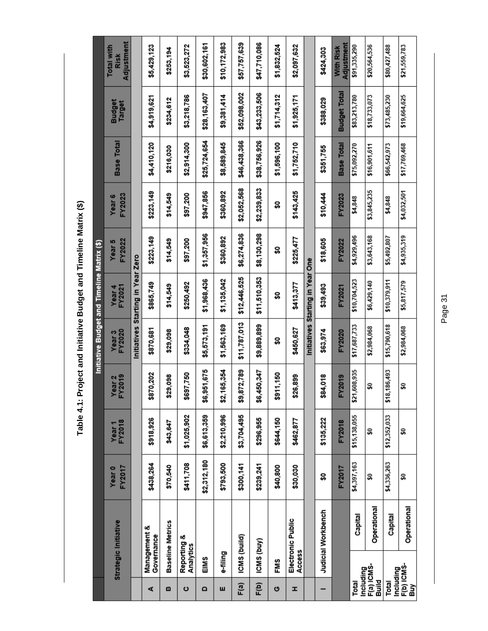Table 4.1: Project and Initiative Budget and Timeline Matrix (\$) **Table 4.1: Project and Initiative Budget and Timeline Matrix (\$)**

|                     |                          |                         |                  |                             |                         |                             | Initiative Budget and Timeline Matrix (\$) |                             |                             |                   |                         |                                         |
|---------------------|--------------------------|-------------------------|------------------|-----------------------------|-------------------------|-----------------------------|--------------------------------------------|-----------------------------|-----------------------------|-------------------|-------------------------|-----------------------------------------|
|                     | Strategic Initiative     |                         | FY2017<br>Year 0 | FY2018<br>Year <sub>1</sub> | <b>Year 2</b><br>FY2019 | FY2020<br>Year <sub>3</sub> | FY2021<br>Year 4                           | FY2022<br>Year <sub>5</sub> | FY2023<br>Year <sub>6</sub> | Base Total        | Budget<br><b>Target</b> | Adjustment<br><b>Total with</b><br>Risk |
|                     |                          |                         |                  |                             |                         |                             | Initiatives Starting in Year Zero          |                             |                             |                   |                         |                                         |
| 4                   | Governance               | Management &            | \$438,264        | \$918,926                   | 70,202<br>587           | \$870,681                   | \$865,749                                  | \$223,149                   | \$223,149                   | \$4,410,120       | \$4,919,621             | \$5,429,123                             |
| m                   |                          | <b>Baseline Metrics</b> | \$70,540         | \$43,647                    | \$29,098                | \$29,098                    | \$14,549                                   | \$14,549                    | \$14,549                    | \$216,030         | \$234,612               | \$253,194                               |
| ပ                   | Reporting &<br>Analytics |                         | \$411,708        | \$1,025,902                 | \$697,750               | \$334,048                   | \$250,492                                  | \$97,200                    | \$97,200                    | \$2,914,300       | \$3,218,786             | \$3,523,272                             |
| $\Omega$            | EIMS                     |                         | \$2,312,180      | \$6,613,359                 | 51,675<br>თ.<br>\$6     | \$5,573,191                 | \$1,968,436                                | \$1,357,956                 | \$947,856                   | \$25,724,654      | \$28,163,407            | \$30,602,161                            |
| ш                   | e-filing                 |                         | \$793,500        | \$2,210,996                 | 65,354<br>\$2,1         | \$1,563,169                 | \$1,135,042                                | \$360,892                   | \$360,892                   | \$8,589,845       | \$9,381,414             | \$10,172,983                            |
| F(a)                | ICMS (build)             |                         | \$300,141        | \$3,704,495                 | \$9,872,789             | \$11,787,013                | \$12,446,525                               | \$6,274,836                 | \$2,052,568                 | \$46,438,366      | \$52,098,002            | \$57,757,639                            |
| F(b)                | ICMS (buy)               |                         | \$239,241        | \$296,955                   | 150,347<br>\$6,4        | \$9,889,899                 | \$11,510,353                               | \$8,130,298                 | \$2,239,833                 | \$38,756,926      | \$43,233,506            | \$47,710,086                            |
| O                   | FMS                      |                         | \$40,800         | \$644,150                   | 11,150<br>ត្ត           | ន្ល                         | ន្ល                                        | ន្ល                         | ន្ល                         | \$1,596,100       | \$1,714,312             | \$1,832,524                             |
| Ŧ                   | Access                   | Electronic Public       | \$30,030         | \$462,877                   | \$26,899                | \$450,627                   | \$413,377                                  | \$225,477                   | \$143,425                   | \$1,752,710       | \$1,925,171             | \$2,097,632                             |
|                     |                          |                         |                  |                             |                         |                             | Initiatives Starting in Year One           |                             |                             |                   |                         |                                         |
|                     |                          | Judicial Workbench      | ន្ល              | \$135,222                   | \$84,018                | \$63,974                    | \$39,493                                   | \$18,605                    | \$10,444                    | \$351,755         | \$388,029               | \$424,303                               |
|                     |                          |                         | FY2017           | <b>FY2018</b>               | 2019<br>ᇫ               | FY2020                      | FY2021                                     | FY2022                      | FY2023                      | <b>Base Total</b> | <b>Budget Total</b>     | Adjustment<br>With Risk                 |
| Including<br>Total  |                          | Capital                 | \$4,397,163      | \$15,138,055                | \$21,608,935            | \$17,687,733                | \$10,704,523                               | \$4,929,496                 | \$4,848                     | \$75,092,270      | \$83,213,780            | \$91,335,290                            |
| F(a) ICMS-<br>Build |                          | Operational             | ຂ                | ິລ                          | ິລ                      | \$2,984,068                 | \$6,429,140                                | \$3,643,168                 | \$3,845,235                 | \$16,901,611      | \$18,733,073            | \$20,564,536                            |
| Including<br>Total  |                          | Capital                 | \$4,336,263      | \$12,352,033                | 186,493<br>\$18,        | \$15,790,618                | \$10,379,911                               | \$5,492,807                 | \$4,848                     | \$66,542,973      | \$73,485,230            | \$80,427,488                            |
| F(b) ICMS<br>Вuу    |                          | Operational             | S                | S                           | S                       | \$2,984,068                 | \$5,817,579                                | \$4,935,319                 | \$4,032,501                 | \$17,769,468      | \$19,664,625            | \$21,559,783                            |

Page 31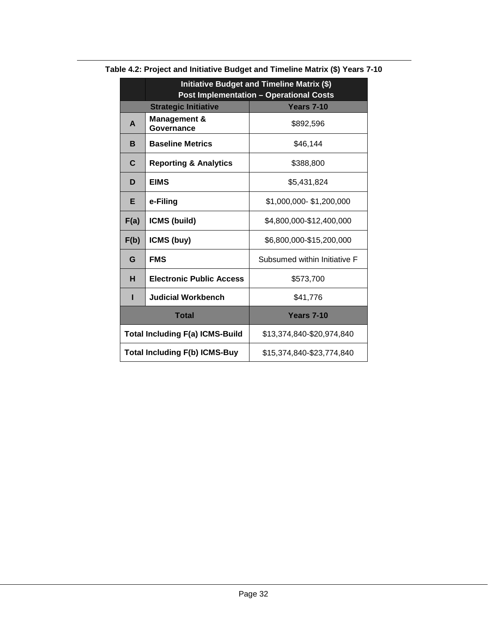|                                      | Initiative Budget and Timeline Matrix (\$)       |                              |  |
|--------------------------------------|--------------------------------------------------|------------------------------|--|
|                                      | <b>Post Implementation - Operational Costs</b>   |                              |  |
|                                      | <b>Strategic Initiative</b><br><b>Years 7-10</b> |                              |  |
| A                                    | <b>Management &amp;</b><br>Governance            | \$892,596                    |  |
| B                                    | <b>Baseline Metrics</b>                          | \$46,144                     |  |
| C                                    | <b>Reporting &amp; Analytics</b>                 | \$388,800                    |  |
| D                                    | <b>EIMS</b>                                      | \$5,431,824                  |  |
| Е                                    | e-Filing                                         | \$1,000,000-\$1,200,000      |  |
| F(a)                                 | ICMS (build)                                     | \$4,800,000-\$12,400,000     |  |
| F(b)                                 | ICMS (buy)                                       | \$6,800,000-\$15,200,000     |  |
| G                                    | <b>FMS</b>                                       | Subsumed within Initiative F |  |
| н                                    | <b>Electronic Public Access</b>                  | \$573,700                    |  |
| н                                    | <b>Judicial Workbench</b><br>\$41,776            |                              |  |
| <b>Total</b>                         |                                                  | <b>Years 7-10</b>            |  |
|                                      | <b>Total Including F(a) ICMS-Build</b>           | \$13,374,840-\$20,974,840    |  |
| <b>Total Including F(b) ICMS-Buy</b> |                                                  | \$15,374,840-\$23,774,840    |  |

**Table 4.2: Project and Initiative Budget and Timeline Matrix (\$) Years 7-10**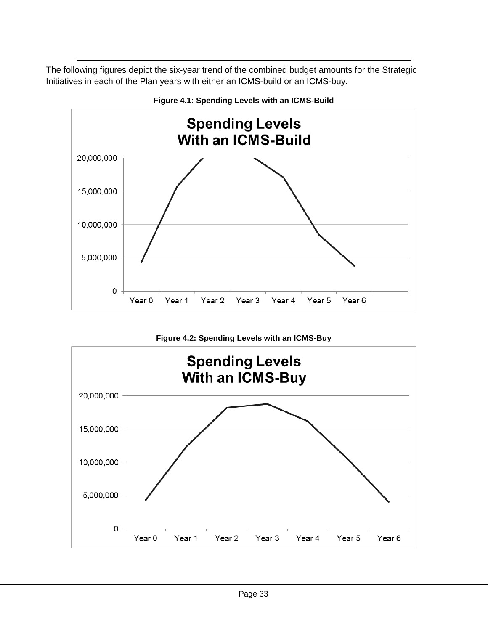The following figures depict the six-year trend of the combined budget amounts for the Strategic Initiatives in each of the Plan years with either an ICMS-build or an ICMS-buy.







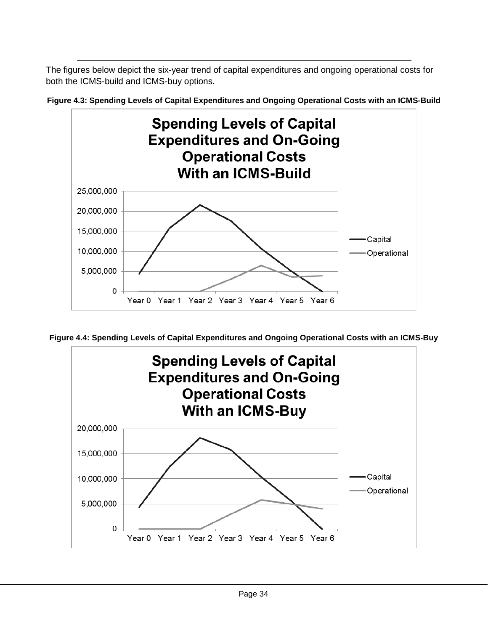The figures below depict the six-year trend of capital expenditures and ongoing operational costs for both the ICMS-build and ICMS-buy options.



**Figure 4.3: Spending Levels of Capital Expenditures and Ongoing Operational Costs with an ICMS-Build**

**Figure 4.4: Spending Levels of Capital Expenditures and Ongoing Operational Costs with an ICMS-Buy**